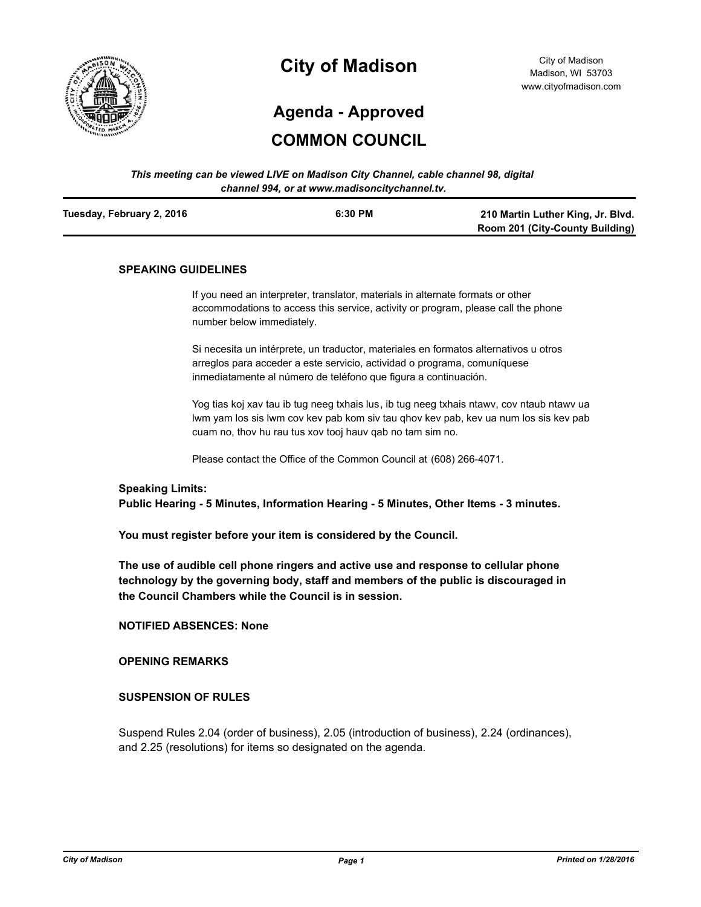

# **City of Madison**

City of Madison Madison, WI 53703 www.cityofmadison.com

# **Agenda - Approved**

# **COMMON COUNCIL**

*This meeting can be viewed LIVE on Madison City Channel, cable channel 98, digital channel 994, or at www.madisoncitychannel.tv.*

| Tuesday, February 2, 2016 | 6:30 PM | 210 Martin Luther King, Jr. Blvd.      |
|---------------------------|---------|----------------------------------------|
|                           |         | <b>Room 201 (City-County Building)</b> |

## **SPEAKING GUIDELINES**

If you need an interpreter, translator, materials in alternate formats or other accommodations to access this service, activity or program, please call the phone number below immediately.

Si necesita un intérprete, un traductor, materiales en formatos alternativos u otros arreglos para acceder a este servicio, actividad o programa, comuníquese inmediatamente al número de teléfono que figura a continuación.

Yog tias koj xav tau ib tug neeg txhais lus, ib tug neeg txhais ntawv, cov ntaub ntawv ua lwm yam los sis lwm cov kev pab kom siv tau qhov kev pab, kev ua num los sis kev pab cuam no, thov hu rau tus xov tooj hauv qab no tam sim no.

Please contact the Office of the Common Council at (608) 266-4071.

#### **Speaking Limits:**

**Public Hearing - 5 Minutes, Information Hearing - 5 Minutes, Other Items - 3 minutes.**

**You must register before your item is considered by the Council.**

**The use of audible cell phone ringers and active use and response to cellular phone technology by the governing body, staff and members of the public is discouraged in the Council Chambers while the Council is in session.**

**NOTIFIED ABSENCES: None**

**OPENING REMARKS**

## **SUSPENSION OF RULES**

Suspend Rules 2.04 (order of business), 2.05 (introduction of business), 2.24 (ordinances), and 2.25 (resolutions) for items so designated on the agenda.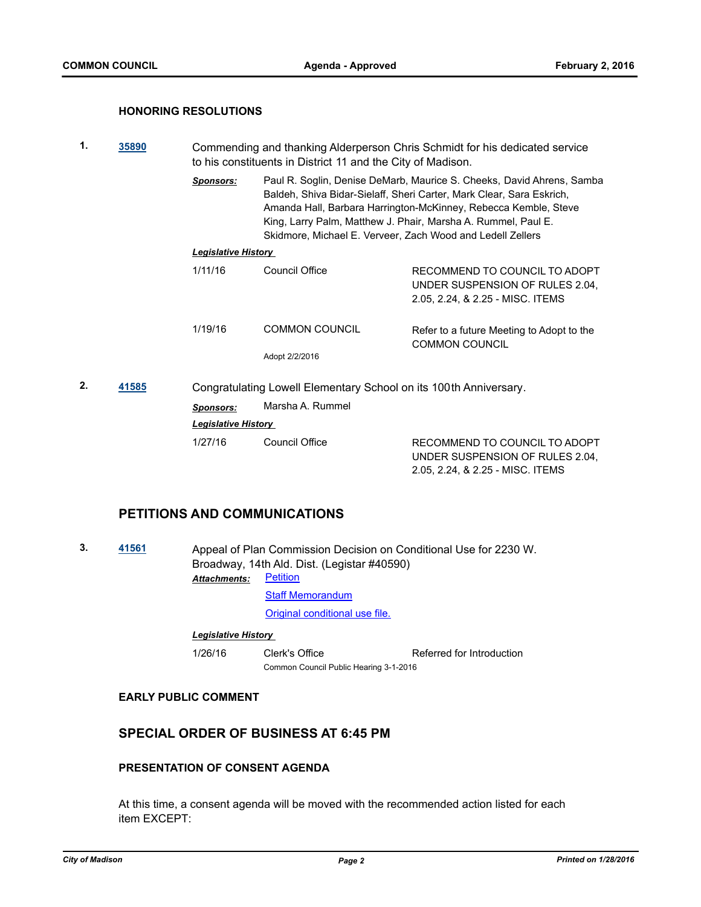## **HONORING RESOLUTIONS**

- **1. [35890](http://madison.legistar.com/gateway.aspx?m=l&id=/matter.aspx?key=38931)** Commending and thanking Alderperson Chris Schmidt for his dedicated service to his constituents in District 11 and the City of Madison.
	- *Sponsors:* Paul R. Soglin, Denise DeMarb, Maurice S. Cheeks, David Ahrens, Samba Baldeh, Shiva Bidar-Sielaff, Sheri Carter, Mark Clear, Sara Eskrich, Amanda Hall, Barbara Harrington-McKinney, Rebecca Kemble, Steve King, Larry Palm, Matthew J. Phair, Marsha A. Rummel, Paul E. Skidmore, Michael E. Verveer, Zach Wood and Ledell Zellers

## *Legislative History*

| 1/11/16                                                          | Council Office        | RECOMMEND TO COUNCIL TO ADOPT<br>UNDER SUSPENSION OF RULES 2.04,<br>2.05, 2.24, & 2.25 - MISC. ITEMS |  |
|------------------------------------------------------------------|-----------------------|------------------------------------------------------------------------------------------------------|--|
| 1/19/16                                                          | <b>COMMON COUNCIL</b> | Refer to a future Meeting to Adopt to the<br><b>COMMON COUNCIL</b>                                   |  |
|                                                                  | Adopt 2/2/2016        |                                                                                                      |  |
| Congratulating Lowell Flementary School on its 100th Anniversary |                       |                                                                                                      |  |

2.05, 2.24, & 2.25 - MISC. ITEMS

**2. [41585](http://madison.legistar.com/gateway.aspx?m=l&id=/matter.aspx?key=45975)** Congratulating Lowell Elementary School on its 100th Anniversary. *Sponsors:* Marsha A. Rummel *Legislative History*  1/27/16 Council Office RECOMMEND TO COUNCIL TO ADOPT UNDER SUSPENSION OF RULES 2.04,

# **PETITIONS AND COMMUNICATIONS**

**3. [41561](http://madison.legistar.com/gateway.aspx?m=l&id=/matter.aspx?key=45951)** Appeal of Plan Commission Decision on Conditional Use for 2230 W. Broadway, 14th Ald. Dist. (Legistar #40590) [Petition](http://madison.legistar.com/gateway.aspx?M=F&ID=a4922d51-013c-4172-ad1d-be6291747960.pdf) *Attachments:*

[Staff Memorandum](http://madison.legistar.com/gateway.aspx?M=F&ID=c5cc2d72-3242-4b57-ab04-c2f0fe7a0c4a.pdf)

[Original conditional use file.](https://madison.legistar.com/LegislationDetail.aspx?ID=2502864&GUID=95F1A9C7-39E9-4B0C-887E-FF590FC63F02&Options=ID|&Search=40590)

## *Legislative History*

1/26/16 Clerk's Office Referred for Introduction Common Council Public Hearing 3-1-2016

#### **EARLY PUBLIC COMMENT**

# **SPECIAL ORDER OF BUSINESS AT 6:45 PM**

# **PRESENTATION OF CONSENT AGENDA**

At this time, a consent agenda will be moved with the recommended action listed for each item EXCEPT: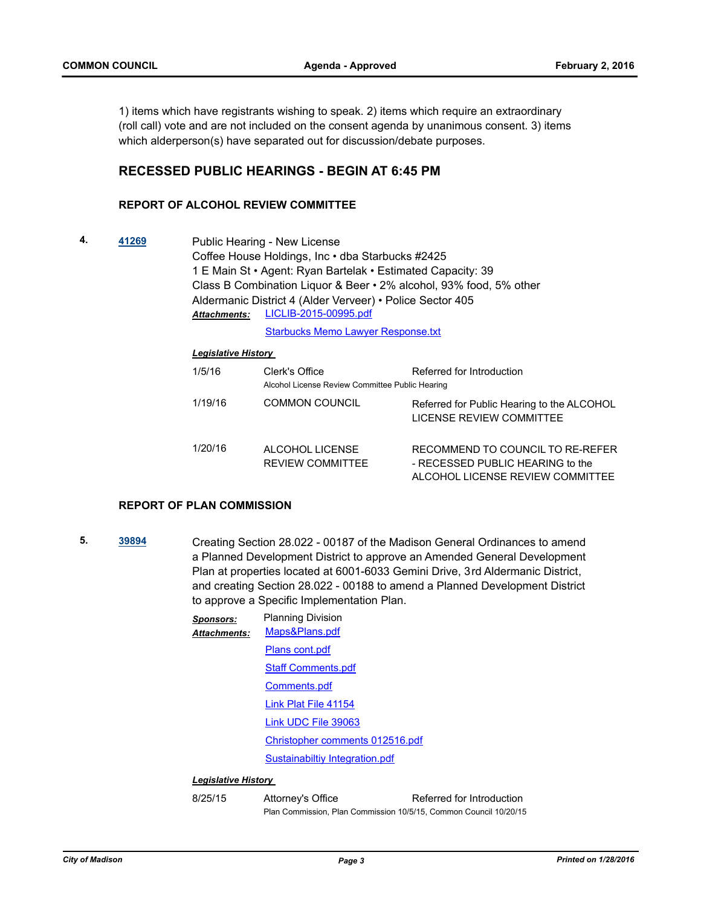1) items which have registrants wishing to speak. 2) items which require an extraordinary (roll call) vote and are not included on the consent agenda by unanimous consent. 3) items which alderperson(s) have separated out for discussion/debate purposes.

# **RECESSED PUBLIC HEARINGS - BEGIN AT 6:45 PM**

## **REPORT OF ALCOHOL REVIEW COMMITTEE**

**4. [41269](http://madison.legistar.com/gateway.aspx?m=l&id=/matter.aspx?key=45703)** Public Hearing - New License Coffee House Holdings, Inc • dba Starbucks #2425 1 E Main St • Agent: Ryan Bartelak • Estimated Capacity: 39 Class B Combination Liquor & Beer • 2% alcohol, 93% food, 5% other Aldermanic District 4 (Alder Verveer) • Police Sector 405 [LICLIB-2015-00995.pdf](http://madison.legistar.com/gateway.aspx?M=F&ID=81b2c1ca-4efe-44e0-ae45-5c4fa961e208.pdf) *Attachments:*

[Starbucks Memo Lawyer Response.txt](http://madison.legistar.com/gateway.aspx?M=F&ID=f6432c31-9b46-4474-b65c-477cb0c94455.txt)

#### *Legislative History*

| 1/5/16  | Clerk's Office<br>Alcohol License Review Committee Public Hearing | Referred for Introduction                                                                                |
|---------|-------------------------------------------------------------------|----------------------------------------------------------------------------------------------------------|
| 1/19/16 | COMMON COUNCIL                                                    | Referred for Public Hearing to the ALCOHOL<br>LICENSE REVIEW COMMITTEE                                   |
| 1/20/16 | ALCOHOL LICENSE<br><b>REVIEW COMMITTEE</b>                        | RECOMMEND TO COUNCIL TO RE-REFER<br>- RECESSED PUBLIC HEARING to the<br>ALCOHOL LICENSE REVIEW COMMITTEE |

#### **REPORT OF PLAN COMMISSION**

**5. [39894](http://madison.legistar.com/gateway.aspx?m=l&id=/matter.aspx?key=43441)** Creating Section 28.022 - 00187 of the Madison General Ordinances to amend a Planned Development District to approve an Amended General Development Plan at properties located at 6001-6033 Gemini Drive, 3rd Aldermanic District, and creating Section 28.022 - 00188 to amend a Planned Development District to approve a Specific Implementation Plan.

| <b>Sponsors:</b><br>Attachments: | <b>Planning Division</b><br>Maps&Plans.pdf |
|----------------------------------|--------------------------------------------|
|                                  | Plans cont.pdf                             |
|                                  | <b>Staff Comments.pdf</b>                  |
|                                  | Comments.pdf                               |
|                                  | Link Plat File 41154                       |
|                                  | Link UDC File 39063                        |
|                                  | Christopher comments 012516.pdf            |
|                                  | Sustainabiltiy Integration.pdf             |
| Leaislative Historv              |                                            |

8/25/15 Attorney's Office Referred for Introduction Plan Commission, Plan Commission 10/5/15, Common Council 10/20/15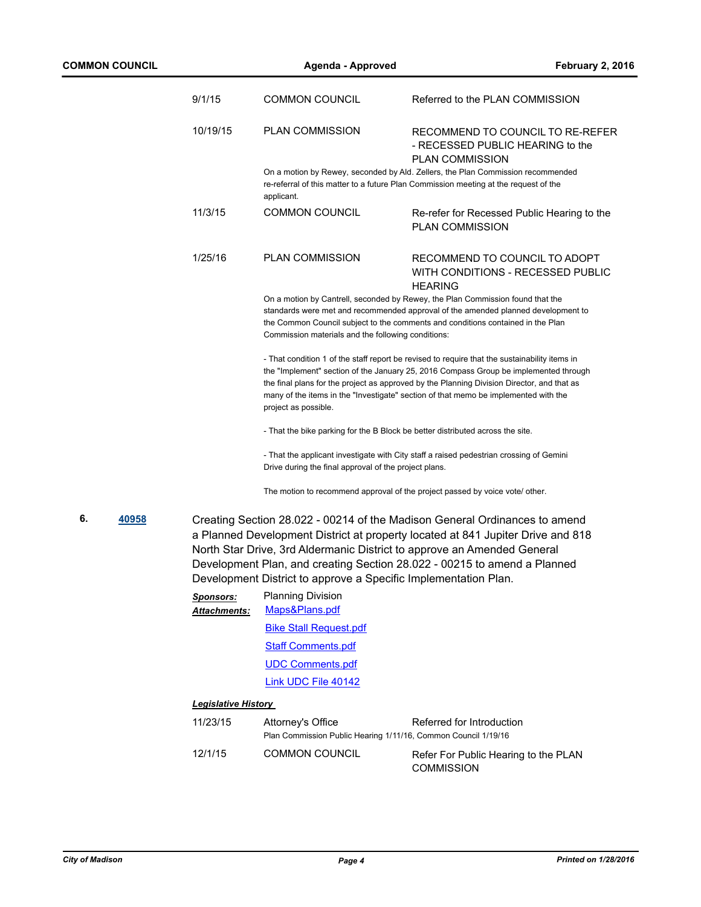|    |       | 9/1/15                                                | <b>COMMON COUNCIL</b>                                                                   | Referred to the PLAN COMMISSION                                                                                                                                                                                                                                                                                                                                            |
|----|-------|-------------------------------------------------------|-----------------------------------------------------------------------------------------|----------------------------------------------------------------------------------------------------------------------------------------------------------------------------------------------------------------------------------------------------------------------------------------------------------------------------------------------------------------------------|
|    |       | 10/19/15                                              | <b>PLAN COMMISSION</b>                                                                  | RECOMMEND TO COUNCIL TO RE-REFER<br>- RECESSED PUBLIC HEARING to the<br><b>PLAN COMMISSION</b>                                                                                                                                                                                                                                                                             |
|    |       |                                                       | applicant.                                                                              | On a motion by Rewey, seconded by Ald. Zellers, the Plan Commission recommended<br>re-referral of this matter to a future Plan Commission meeting at the request of the                                                                                                                                                                                                    |
|    |       | 11/3/15                                               | <b>COMMON COUNCIL</b>                                                                   | Re-refer for Recessed Public Hearing to the<br><b>PLAN COMMISSION</b>                                                                                                                                                                                                                                                                                                      |
|    |       | 1/25/16                                               | <b>PLAN COMMISSION</b>                                                                  | RECOMMEND TO COUNCIL TO ADOPT<br>WITH CONDITIONS - RECESSED PUBLIC<br><b>HEARING</b>                                                                                                                                                                                                                                                                                       |
|    |       |                                                       | Commission materials and the following conditions:                                      | On a motion by Cantrell, seconded by Rewey, the Plan Commission found that the<br>standards were met and recommended approval of the amended planned development to<br>the Common Council subject to the comments and conditions contained in the Plan                                                                                                                     |
|    |       |                                                       | project as possible.                                                                    | - That condition 1 of the staff report be revised to require that the sustainability items in<br>the "Implement" section of the January 25, 2016 Compass Group be implemented through<br>the final plans for the project as approved by the Planning Division Director, and that as<br>many of the items in the "Investigate" section of that memo be implemented with the |
|    |       |                                                       | - That the bike parking for the B Block be better distributed across the site.          |                                                                                                                                                                                                                                                                                                                                                                            |
|    |       | Drive during the final approval of the project plans. | - That the applicant investigate with City staff a raised pedestrian crossing of Gemini |                                                                                                                                                                                                                                                                                                                                                                            |
|    |       |                                                       | The motion to recommend approval of the project passed by voice vote/ other.            |                                                                                                                                                                                                                                                                                                                                                                            |
| 6. | 40958 |                                                       | Development District to approve a Specific Implementation Plan.                         | Creating Section 28.022 - 00214 of the Madison General Ordinances to amend<br>a Planned Development District at property located at 841 Jupiter Drive and 818<br>North Star Drive, 3rd Aldermanic District to approve an Amended General<br>Development Plan, and creating Section 28.022 - 00215 to amend a Planned                                                       |
|    |       | <u>Sponsors:</u>                                      | <b>Planning Division</b><br>Maps&Plans.pdf                                              |                                                                                                                                                                                                                                                                                                                                                                            |
|    |       | Attachments:                                          | <b>Bike Stall Request.pdf</b>                                                           |                                                                                                                                                                                                                                                                                                                                                                            |
|    |       |                                                       | <b>Staff Comments.pdf</b>                                                               |                                                                                                                                                                                                                                                                                                                                                                            |
|    |       |                                                       | <b>UDC Comments.pdf</b>                                                                 |                                                                                                                                                                                                                                                                                                                                                                            |
|    |       |                                                       | Link UDC File 40142                                                                     |                                                                                                                                                                                                                                                                                                                                                                            |
|    |       | <b>Legislative History</b>                            |                                                                                         |                                                                                                                                                                                                                                                                                                                                                                            |
|    |       | 11/23/15                                              | Attorney's Office                                                                       | Referred for Introduction                                                                                                                                                                                                                                                                                                                                                  |
|    |       |                                                       | Plan Commission Public Hearing 1/11/16, Common Council 1/19/16                          |                                                                                                                                                                                                                                                                                                                                                                            |
|    |       | 12/1/15                                               | <b>COMMON COUNCIL</b>                                                                   | Refer For Public Hearing to the PLAN<br><b>COMMISSION</b>                                                                                                                                                                                                                                                                                                                  |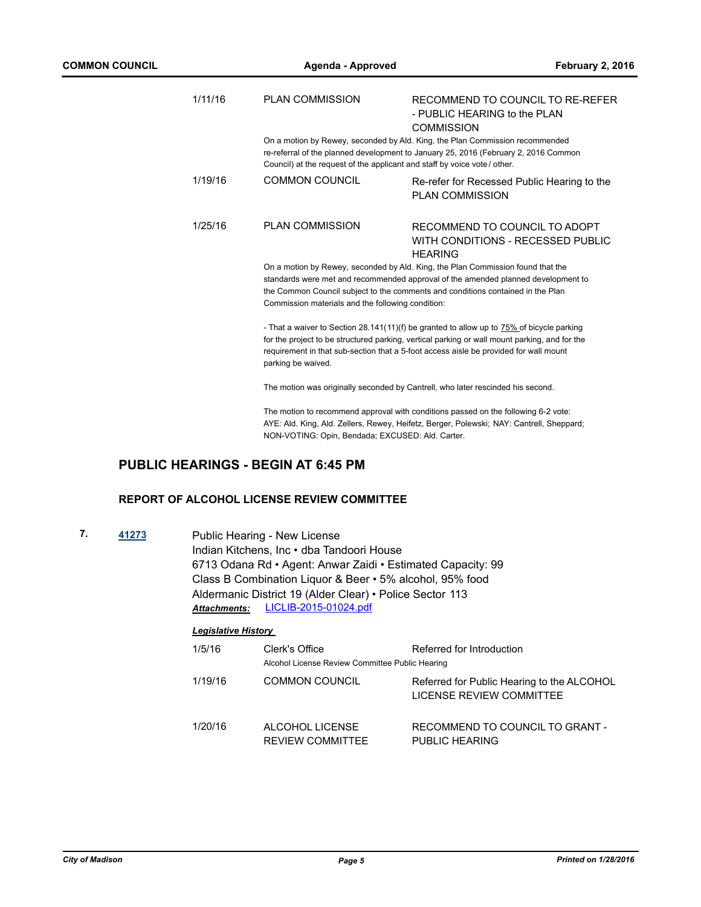| 1/11/16 | <b>PLAN COMMISSION</b>                                                                                                                                                                                                                                                                                       | RECOMMEND TO COUNCIL TO RE-REFER<br>- PUBLIC HEARING to the PLAN<br><b>COMMISSION</b>                                                                                                                                                                                               |  |  |
|---------|--------------------------------------------------------------------------------------------------------------------------------------------------------------------------------------------------------------------------------------------------------------------------------------------------------------|-------------------------------------------------------------------------------------------------------------------------------------------------------------------------------------------------------------------------------------------------------------------------------------|--|--|
|         | Council) at the request of the applicant and staff by voice vote / other.                                                                                                                                                                                                                                    | On a motion by Rewey, seconded by Ald. King, the Plan Commission recommended<br>re-referral of the planned development to January 25, 2016 (February 2, 2016 Common                                                                                                                 |  |  |
| 1/19/16 | <b>COMMON COUNCIL</b>                                                                                                                                                                                                                                                                                        | Re-refer for Recessed Public Hearing to the<br><b>PLAN COMMISSION</b>                                                                                                                                                                                                               |  |  |
| 1/25/16 | <b>PLAN COMMISSION</b>                                                                                                                                                                                                                                                                                       | RECOMMEND TO COUNCIL TO ADOPT<br>WITH CONDITIONS - RECESSED PUBLIC<br><b>HEARING</b>                                                                                                                                                                                                |  |  |
|         | On a motion by Rewey, seconded by Ald. King, the Plan Commission found that the<br>standards were met and recommended approval of the amended planned development to<br>the Common Council subject to the comments and conditions contained in the Plan<br>Commission materials and the following condition: |                                                                                                                                                                                                                                                                                     |  |  |
|         | parking be waived.                                                                                                                                                                                                                                                                                           | - That a waiver to Section 28.141(11)(f) be granted to allow up to 75% of bicycle parking<br>for the project to be structured parking, vertical parking or wall mount parking, and for the<br>requirement in that sub-section that a 5-foot access aisle be provided for wall mount |  |  |
|         | The motion was originally seconded by Cantrell, who later rescinded his second.                                                                                                                                                                                                                              |                                                                                                                                                                                                                                                                                     |  |  |
|         |                                                                                                                                                                                                                                                                                                              | The motion to recommend approval with conditions passed on the following 6-2 vote:<br>AYE: Ald. King, Ald. Zellers, Rewey, Heifetz, Berger, Polewski; NAY: Cantrell, Sheppard;                                                                                                      |  |  |
|         |                                                                                                                                                                                                                                                                                                              |                                                                                                                                                                                                                                                                                     |  |  |

NON-VOTING: Opin, Bendada; EXCUSED: Ald. Carter.

# **PUBLIC HEARINGS - BEGIN AT 6:45 PM**

## **REPORT OF ALCOHOL LICENSE REVIEW COMMITTEE**

| 7.<br>41273 |  | Public Hearing - New License                                |
|-------------|--|-------------------------------------------------------------|
|             |  | Indian Kitchens, Inc · dba Tandoori House                   |
|             |  | 6713 Odana Rd • Agent: Anwar Zaidi • Estimated Capacity: 99 |
|             |  | Class B Combination Liquor & Beer • 5% alcohol, 95% food    |
|             |  | Aldermanic District 19 (Alder Clear) • Police Sector 113    |
|             |  | Attachments: LICLIB-2015-01024.pdf                          |

| 1/5/16  | Clerk's Office<br>Alcohol License Review Committee Public Hearing | Referred for Introduction                                              |
|---------|-------------------------------------------------------------------|------------------------------------------------------------------------|
| 1/19/16 | <b>COMMON COUNCIL</b>                                             | Referred for Public Hearing to the ALCOHOL<br>LICENSE REVIEW COMMITTEE |
| 1/20/16 | ALCOHOL LICENSE<br><b>REVIEW COMMITTEE</b>                        | RECOMMEND TO COUNCIL TO GRANT -<br>PUBLIC HEARING                      |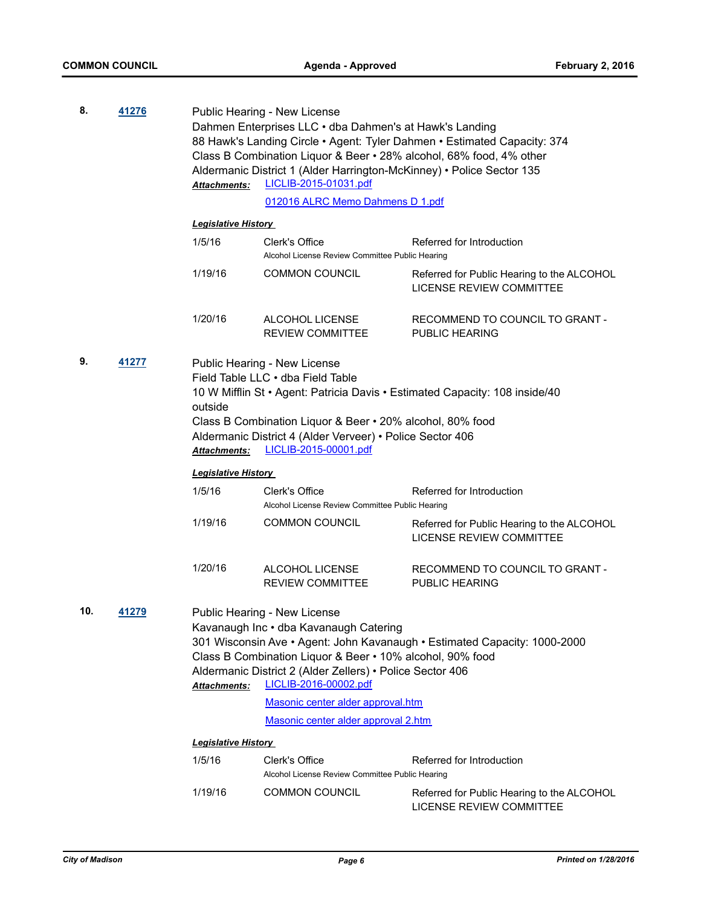| 8.<br>41276<br>Public Hearing - New License |       |                                                                          |                                                                                                |                                                                             |  |
|---------------------------------------------|-------|--------------------------------------------------------------------------|------------------------------------------------------------------------------------------------|-----------------------------------------------------------------------------|--|
|                                             |       | Dahmen Enterprises LLC · dba Dahmen's at Hawk's Landing                  |                                                                                                |                                                                             |  |
|                                             |       | 88 Hawk's Landing Circle . Agent: Tyler Dahmen . Estimated Capacity: 374 |                                                                                                |                                                                             |  |
|                                             |       |                                                                          | Class B Combination Liquor & Beer • 28% alcohol, 68% food, 4% other                            |                                                                             |  |
|                                             |       | Attachments:                                                             | Aldermanic District 1 (Alder Harrington-McKinney) • Police Sector 135<br>LICLIB-2015-01031.pdf |                                                                             |  |
|                                             |       |                                                                          | 012016 ALRC Memo Dahmens D 1.pdf                                                               |                                                                             |  |
|                                             |       | <b>Legislative History</b>                                               |                                                                                                |                                                                             |  |
|                                             |       | 1/5/16                                                                   | Clerk's Office                                                                                 | Referred for Introduction                                                   |  |
|                                             |       |                                                                          | Alcohol License Review Committee Public Hearing                                                |                                                                             |  |
|                                             |       | 1/19/16                                                                  | <b>COMMON COUNCIL</b>                                                                          | Referred for Public Hearing to the ALCOHOL                                  |  |
|                                             |       |                                                                          |                                                                                                | LICENSE REVIEW COMMITTEE                                                    |  |
|                                             |       | 1/20/16                                                                  | ALCOHOL LICENSE                                                                                | RECOMMEND TO COUNCIL TO GRANT -                                             |  |
|                                             |       |                                                                          | <b>REVIEW COMMITTEE</b>                                                                        | PUBLIC HEARING                                                              |  |
| 9.                                          | 41277 |                                                                          | Public Hearing - New License                                                                   |                                                                             |  |
|                                             |       |                                                                          | Field Table LLC • dba Field Table                                                              |                                                                             |  |
|                                             |       |                                                                          |                                                                                                | 10 W Mifflin St · Agent: Patricia Davis · Estimated Capacity: 108 inside/40 |  |
|                                             |       | outside                                                                  |                                                                                                |                                                                             |  |
|                                             |       | Class B Combination Liquor & Beer • 20% alcohol, 80% food                |                                                                                                |                                                                             |  |
|                                             |       | Attachments:                                                             | Aldermanic District 4 (Alder Verveer) • Police Sector 406<br>LICLIB-2015-00001.pdf             |                                                                             |  |
|                                             |       | <b>Legislative History</b>                                               |                                                                                                |                                                                             |  |
|                                             |       | 1/5/16                                                                   | Clerk's Office                                                                                 | Referred for Introduction                                                   |  |
|                                             |       |                                                                          | Alcohol License Review Committee Public Hearing                                                |                                                                             |  |
|                                             |       | 1/19/16                                                                  | <b>COMMON COUNCIL</b>                                                                          | Referred for Public Hearing to the ALCOHOL                                  |  |
|                                             |       |                                                                          |                                                                                                | <b>LICENSE REVIEW COMMITTEE</b>                                             |  |
|                                             |       |                                                                          |                                                                                                |                                                                             |  |
|                                             |       | 1/20/16                                                                  | ALCOHOL LICENSE                                                                                | RECOMMEND TO COUNCIL TO GRANT -                                             |  |
|                                             |       |                                                                          | <b>REVIEW COMMITTEE</b>                                                                        | <b>PUBLIC HEARING</b>                                                       |  |
| 10.                                         | 41279 |                                                                          | Public Hearing - New License                                                                   |                                                                             |  |
|                                             |       |                                                                          | Kavanaugh Inc · dba Kavanaugh Catering                                                         |                                                                             |  |
|                                             |       |                                                                          |                                                                                                | 301 Wisconsin Ave • Agent: John Kavanaugh • Estimated Capacity: 1000-2000   |  |
|                                             |       |                                                                          | Class B Combination Liquor & Beer . 10% alcohol, 90% food                                      |                                                                             |  |
|                                             |       |                                                                          | Aldermanic District 2 (Alder Zellers) • Police Sector 406                                      |                                                                             |  |
|                                             |       | Attachments:                                                             | LICLIB-2016-00002.pdf                                                                          |                                                                             |  |
|                                             |       |                                                                          | Masonic center alder approval.htm<br>Masonic center alder approval 2.htm                       |                                                                             |  |
|                                             |       | <b>Legislative History</b>                                               |                                                                                                |                                                                             |  |
|                                             |       | 1/5/16                                                                   | Clerk's Office                                                                                 | Referred for Introduction                                                   |  |
|                                             |       |                                                                          | Alcohol License Review Committee Public Hearing                                                |                                                                             |  |
|                                             |       | 1/19/16                                                                  | <b>COMMON COUNCIL</b>                                                                          | Referred for Public Hearing to the ALCOHOL<br>LICENSE REVIEW COMMITTEE      |  |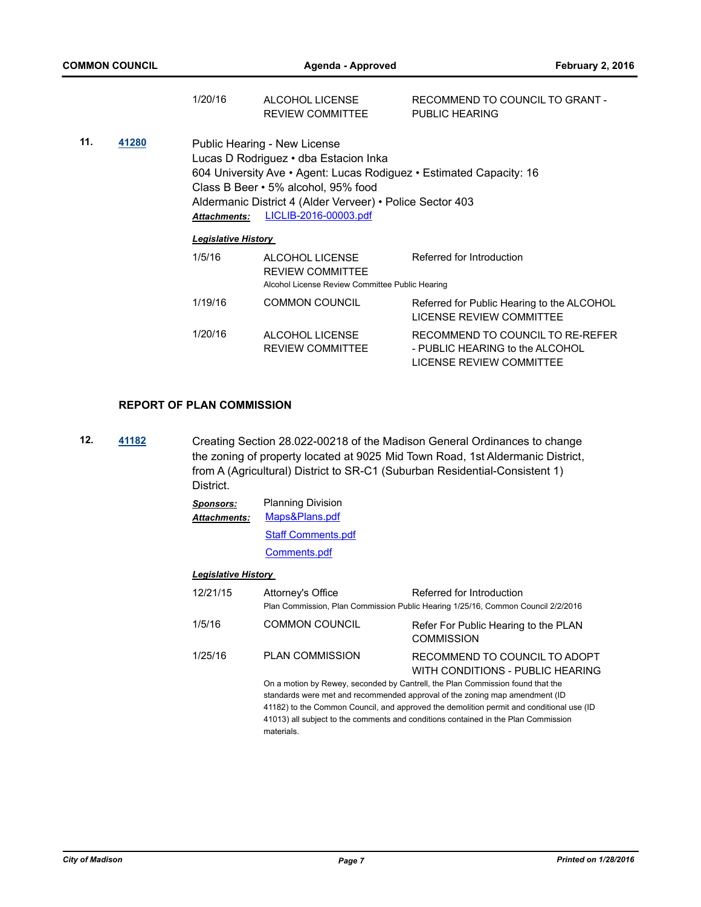|     |       | 1/20/16                                                                                                                                                                                                                                                                                          | ALCOHOL LICENSE<br><b>REVIEW COMMITTEE</b>                                                    | RECOMMEND TO COUNCIL TO GRANT -<br>PUBLIC HEARING                                               |
|-----|-------|--------------------------------------------------------------------------------------------------------------------------------------------------------------------------------------------------------------------------------------------------------------------------------------------------|-----------------------------------------------------------------------------------------------|-------------------------------------------------------------------------------------------------|
| 11. | 41280 | Public Hearing - New License<br>Lucas D Rodriguez · dba Estacion Inka<br>604 University Ave • Agent: Lucas Rodiguez • Estimated Capacity: 16<br>Class B Beer • 5% alcohol, 95% food<br>Aldermanic District 4 (Alder Verveer) • Police Sector 403<br>LICLIB-2016-00003.pdf<br><b>Attachments:</b> |                                                                                               |                                                                                                 |
|     |       | <b>Legislative History</b>                                                                                                                                                                                                                                                                       |                                                                                               |                                                                                                 |
|     |       | 1/5/16                                                                                                                                                                                                                                                                                           | ALCOHOL LICENSE<br><b>REVIEW COMMITTEE</b><br>Alcohol License Review Committee Public Hearing | Referred for Introduction                                                                       |
|     |       | 1/19/16                                                                                                                                                                                                                                                                                          | <b>COMMON COUNCIL</b>                                                                         | Referred for Public Hearing to the ALCOHOL<br><b>LICENSE REVIEW COMMITTEE</b>                   |
|     |       | 1/20/16                                                                                                                                                                                                                                                                                          | ALCOHOL LICENSE<br><b>REVIEW COMMITTEE</b>                                                    | RECOMMEND TO COUNCIL TO RE-REFER<br>- PUBLIC HEARING to the ALCOHOL<br>LICENSE REVIEW COMMITTEE |

## **REPORT OF PLAN COMMISSION**

**12. [41182](http://madison.legistar.com/gateway.aspx?m=l&id=/matter.aspx?key=45619)** Creating Section 28.022-00218 of the Madison General Ordinances to change the zoning of property located at 9025 Mid Town Road, 1st Aldermanic District, from A (Agricultural) District to SR-C1 (Suburban Residential-Consistent 1) District.

| <b>Sponsors:</b>    | <b>Planning Division</b>  |
|---------------------|---------------------------|
| <b>Attachments:</b> | Maps&Plans.pdf            |
|                     | <b>Staff Comments.pdf</b> |
|                     | Comments.pdf              |

| 12/21/15 | Attorney's Office                                                                                                                                                                                                                                                                                                                                             | Referred for Introduction<br>Plan Commission, Plan Commission Public Hearing 1/25/16, Common Council 2/2/2016 |  |
|----------|---------------------------------------------------------------------------------------------------------------------------------------------------------------------------------------------------------------------------------------------------------------------------------------------------------------------------------------------------------------|---------------------------------------------------------------------------------------------------------------|--|
| 1/5/16   | <b>COMMON COUNCIL</b>                                                                                                                                                                                                                                                                                                                                         | Refer For Public Hearing to the PLAN<br><b>COMMISSION</b>                                                     |  |
| 1/25/16  | <b>PLAN COMMISSION</b>                                                                                                                                                                                                                                                                                                                                        | RECOMMEND TO COUNCIL TO ADOPT<br>WITH CONDITIONS - PUBLIC HEARING                                             |  |
|          | On a motion by Rewey, seconded by Cantrell, the Plan Commission found that the<br>standards were met and recommended approval of the zoning map amendment (ID<br>41182) to the Common Council, and approved the demolition permit and conditional use (ID<br>41013) all subject to the comments and conditions contained in the Plan Commission<br>materials. |                                                                                                               |  |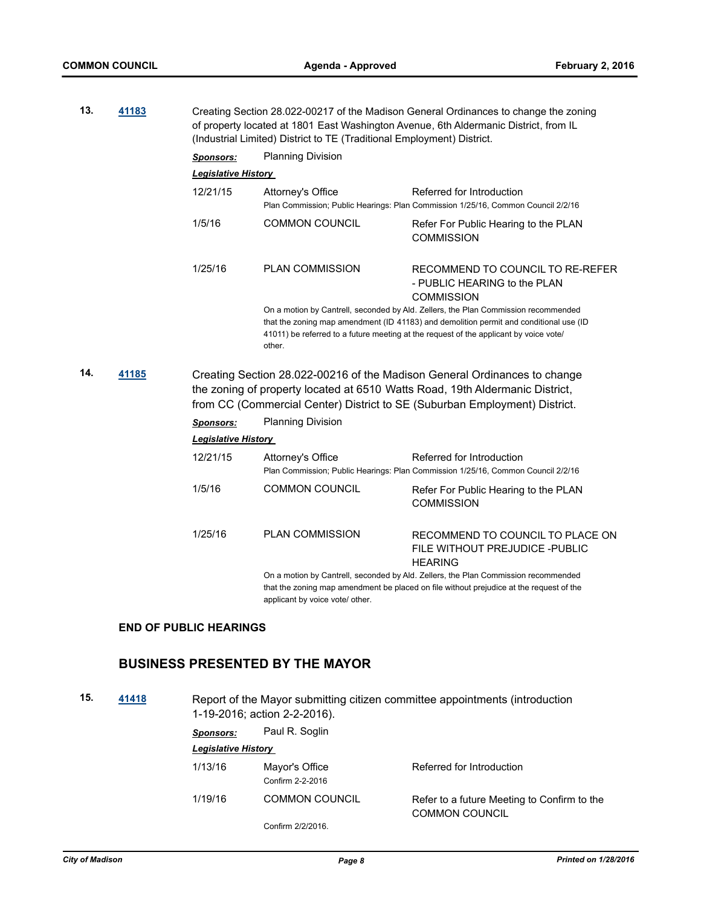| 13. | 41183 | Creating Section 28.022-00217 of the Madison General Ordinances to change the zoning<br>of property located at 1801 East Washington Avenue, 6th Aldermanic District, from IL<br>(Industrial Limited) District to TE (Traditional Employment) District. |                                                                                                                                                                                                                                                                                 |                                                                                                                                                                                                                                         |  |
|-----|-------|--------------------------------------------------------------------------------------------------------------------------------------------------------------------------------------------------------------------------------------------------------|---------------------------------------------------------------------------------------------------------------------------------------------------------------------------------------------------------------------------------------------------------------------------------|-----------------------------------------------------------------------------------------------------------------------------------------------------------------------------------------------------------------------------------------|--|
|     |       | <b>Sponsors:</b>                                                                                                                                                                                                                                       | <b>Planning Division</b>                                                                                                                                                                                                                                                        |                                                                                                                                                                                                                                         |  |
|     |       | Legislative History                                                                                                                                                                                                                                    |                                                                                                                                                                                                                                                                                 |                                                                                                                                                                                                                                         |  |
|     |       | 12/21/15                                                                                                                                                                                                                                               | Attorney's Office                                                                                                                                                                                                                                                               | Referred for Introduction<br>Plan Commission; Public Hearings: Plan Commission 1/25/16, Common Council 2/2/16                                                                                                                           |  |
|     |       | 1/5/16                                                                                                                                                                                                                                                 | <b>COMMON COUNCIL</b>                                                                                                                                                                                                                                                           | Refer For Public Hearing to the PLAN<br><b>COMMISSION</b>                                                                                                                                                                               |  |
|     |       | 1/25/16                                                                                                                                                                                                                                                | <b>PLAN COMMISSION</b>                                                                                                                                                                                                                                                          | RECOMMEND TO COUNCIL TO RE-REFER<br>- PUBLIC HEARING to the PLAN<br><b>COMMISSION</b>                                                                                                                                                   |  |
|     |       |                                                                                                                                                                                                                                                        | On a motion by Cantrell, seconded by Ald. Zellers, the Plan Commission recommended<br>that the zoning map amendment (ID 41183) and demolition permit and conditional use (ID<br>41011) be referred to a future meeting at the request of the applicant by voice vote/<br>other. |                                                                                                                                                                                                                                         |  |
| 14. | 41185 |                                                                                                                                                                                                                                                        |                                                                                                                                                                                                                                                                                 | Creating Section 28.022-00216 of the Madison General Ordinances to change<br>the zoning of property located at 6510 Watts Road, 19th Aldermanic District,<br>from CC (Commercial Center) District to SE (Suburban Employment) District. |  |
|     |       | <b>Sponsors:</b>                                                                                                                                                                                                                                       | <b>Planning Division</b>                                                                                                                                                                                                                                                        |                                                                                                                                                                                                                                         |  |
|     |       | <b>Legislative History</b>                                                                                                                                                                                                                             |                                                                                                                                                                                                                                                                                 |                                                                                                                                                                                                                                         |  |
|     |       | 12/21/15                                                                                                                                                                                                                                               | Attorney's Office                                                                                                                                                                                                                                                               | Referred for Introduction<br>Plan Commission; Public Hearings: Plan Commission 1/25/16, Common Council 2/2/16                                                                                                                           |  |
|     |       | 1/5/16                                                                                                                                                                                                                                                 | <b>COMMON COUNCIL</b>                                                                                                                                                                                                                                                           | Refer For Public Hearing to the PLAN<br><b>COMMISSION</b>                                                                                                                                                                               |  |
|     |       | 1/25/16                                                                                                                                                                                                                                                | <b>PLAN COMMISSION</b>                                                                                                                                                                                                                                                          | RECOMMEND TO COUNCIL TO PLACE ON<br>FILE WITHOUT PREJUDICE -PUBLIC<br><b>HEARING</b>                                                                                                                                                    |  |
|     |       |                                                                                                                                                                                                                                                        | applicant by voice vote/ other.                                                                                                                                                                                                                                                 | On a motion by Cantrell, seconded by Ald. Zellers, the Plan Commission recommended<br>that the zoning map amendment be placed on file without prejudice at the request of the                                                           |  |

# **END OF PUBLIC HEARINGS**

# **BUSINESS PRESENTED BY THE MAYOR**

**15. [41418](http://madison.legistar.com/gateway.aspx?m=l&id=/matter.aspx?key=45826)** Report of the Mayor submitting citizen committee appointments (introduction 1-19-2016; action 2-2-2016).

| Sponsors:                  | Paul R. Soglin                     |                                                                      |
|----------------------------|------------------------------------|----------------------------------------------------------------------|
| <b>Legislative History</b> |                                    |                                                                      |
| 1/13/16                    | Mayor's Office<br>Confirm 2-2-2016 | Referred for Introduction                                            |
| 1/19/16                    | <b>COMMON COUNCIL</b>              | Refer to a future Meeting to Confirm to the<br><b>COMMON COUNCIL</b> |
|                            | Confirm 2/2/2016.                  |                                                                      |
|                            |                                    |                                                                      |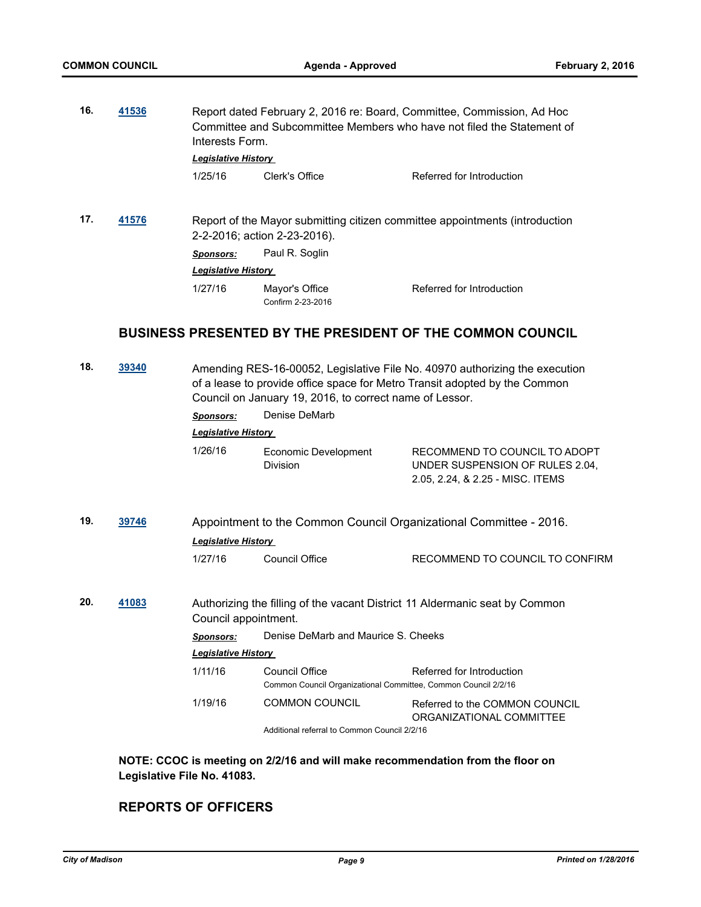| 16. | 41536 | Report dated February 2, 2016 re: Board, Committee, Commission, Ad Hoc<br>Committee and Subcommittee Members who have not filed the Statement of<br>Interests Form.<br><b>Legislative History</b> |                                     |                                                                  |  |
|-----|-------|---------------------------------------------------------------------------------------------------------------------------------------------------------------------------------------------------|-------------------------------------|------------------------------------------------------------------|--|
|     |       |                                                                                                                                                                                                   |                                     |                                                                  |  |
|     |       | 1/25/16                                                                                                                                                                                           | Clerk's Office                      | Referred for Introduction                                        |  |
| 17. | 41576 | Report of the Mayor submitting citizen committee appointments (introduction<br>2-2-2016; action 2-23-2016).                                                                                       |                                     |                                                                  |  |
|     |       | Sponsors:                                                                                                                                                                                         | Paul R. Soglin                      |                                                                  |  |
|     |       | <b>Legislative History</b>                                                                                                                                                                        |                                     |                                                                  |  |
|     |       | 1/27/16                                                                                                                                                                                           | Mayor's Office<br>Confirm 2-23-2016 | Referred for Introduction                                        |  |
|     |       |                                                                                                                                                                                                   |                                     | <b>BUSINESS PRESENTED BY THE PRESIDENT OF THE COMMON COUNCIL</b> |  |

| 18. | 39340 |                                                                                                  | Council on January 19, 2016, to correct name of Lessor.                          | Amending RES-16-00052, Legislative File No. 40970 authorizing the execution<br>of a lease to provide office space for Metro Transit adopted by the Common |  |
|-----|-------|--------------------------------------------------------------------------------------------------|----------------------------------------------------------------------------------|-----------------------------------------------------------------------------------------------------------------------------------------------------------|--|
|     |       | <b>Sponsors:</b>                                                                                 | Denise DeMarb                                                                    |                                                                                                                                                           |  |
|     |       | <b>Legislative History</b>                                                                       |                                                                                  |                                                                                                                                                           |  |
|     |       | 1/26/16                                                                                          | Economic Development<br>Division                                                 | RECOMMEND TO COUNCIL TO ADOPT<br>UNDER SUSPENSION OF RULES 2.04,<br>2.05, 2.24, & 2.25 - MISC. ITEMS                                                      |  |
| 19. | 39746 | Appointment to the Common Council Organizational Committee - 2016.<br><b>Legislative History</b> |                                                                                  |                                                                                                                                                           |  |
|     |       | 1/27/16                                                                                          | Council Office                                                                   | RECOMMEND TO COUNCIL TO CONFIRM                                                                                                                           |  |
| 20. | 41083 | Council appointment.                                                                             |                                                                                  | Authorizing the filling of the vacant District 11 Aldermanic seat by Common                                                                               |  |
|     |       | <b>Sponsors:</b>                                                                                 | Denise DeMarb and Maurice S. Cheeks                                              |                                                                                                                                                           |  |
|     |       | Legislative History                                                                              |                                                                                  |                                                                                                                                                           |  |
|     |       | 1/11/16                                                                                          | Council Office<br>Common Council Organizational Committee, Common Council 2/2/16 | Referred for Introduction                                                                                                                                 |  |
|     |       | 1/19/16                                                                                          | <b>COMMON COUNCIL</b>                                                            | Referred to the COMMON COUNCIL<br>ORGANIZATIONAL COMMITTEE                                                                                                |  |
|     |       |                                                                                                  | Additional referral to Common Council 2/2/16                                     |                                                                                                                                                           |  |

**NOTE: CCOC is meeting on 2/2/16 and will make recommendation from the floor on Legislative File No. 41083.**

# **REPORTS OF OFFICERS**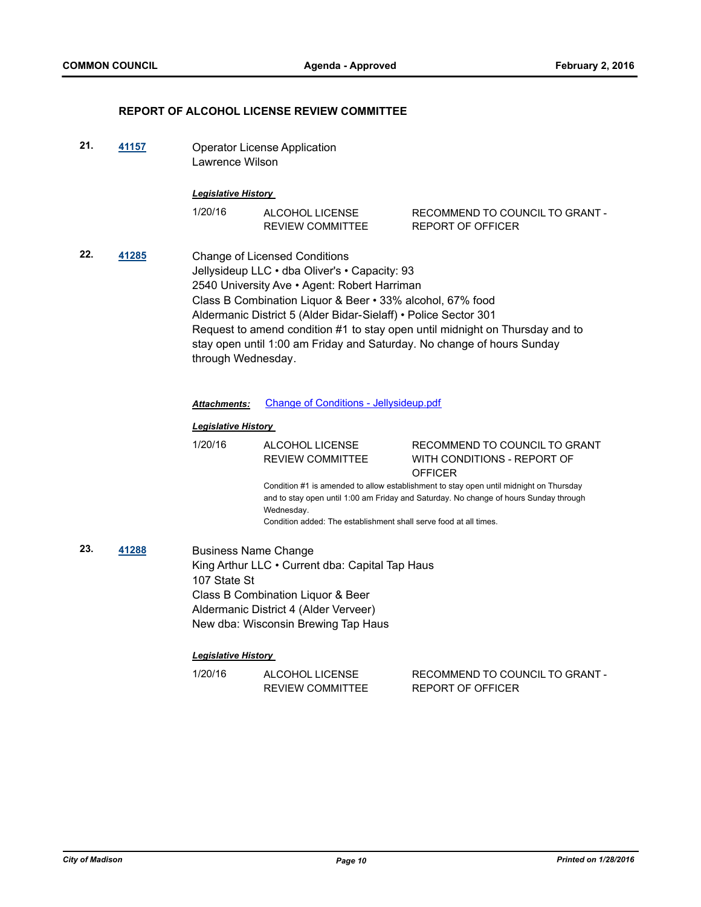### **REPORT OF ALCOHOL LICENSE REVIEW COMMITTEE**

**21. [41157](http://madison.legistar.com/gateway.aspx?m=l&id=/matter.aspx?key=45594)** Operator License Application Lawrence Wilson

#### *Legislative History*

| 1/20/16 | ALCOHOL LICENSE  | RECOMMEND TO COUNCIL TO GRANT - |
|---------|------------------|---------------------------------|
|         | REVIEW COMMITTEE | REPORT OF OFFICER               |

**22. [41285](http://madison.legistar.com/gateway.aspx?m=l&id=/matter.aspx?key=45719)** Change of Licensed Conditions Jellysideup LLC • dba Oliver's • Capacity: 93 2540 University Ave • Agent: Robert Harriman Class B Combination Liquor & Beer • 33% alcohol, 67% food Aldermanic District 5 (Alder Bidar-Sielaff) • Police Sector 301 Request to amend condition #1 to stay open until midnight on Thursday and to stay open until 1:00 am Friday and Saturday. No change of hours Sunday through Wednesday.

## *Attachments:* [Change of Conditions - Jellysideup.pdf](http://madison.legistar.com/gateway.aspx?M=F&ID=f18c8958-1195-4783-9453-633864ca77ac.pdf)

#### *Legislative History*

1/20/16 ALCOHOL LICENSE REVIEW COMMITTEE RECOMMEND TO COUNCIL TO GRANT WITH CONDITIONS - REPORT OF **OFFICER** Condition #1 is amended to allow establishment to stay open until midnight on Thursday and to stay open until 1:00 am Friday and Saturday. No change of hours Sunday through Wednesday. Condition added: The establishment shall serve food at all times.

**23. [41288](http://madison.legistar.com/gateway.aspx?m=l&id=/matter.aspx?key=45722)** Business Name Change King Arthur LLC • Current dba: Capital Tap Haus 107 State St Class B Combination Liquor & Beer Aldermanic District 4 (Alder Verveer) New dba: Wisconsin Brewing Tap Haus

| 1/20/16 | ALCOHOL LICENSE  | RECOMMEND TO COUNCIL TO GRANT - |
|---------|------------------|---------------------------------|
|         | REVIEW COMMITTEE | REPORT OF OFFICER               |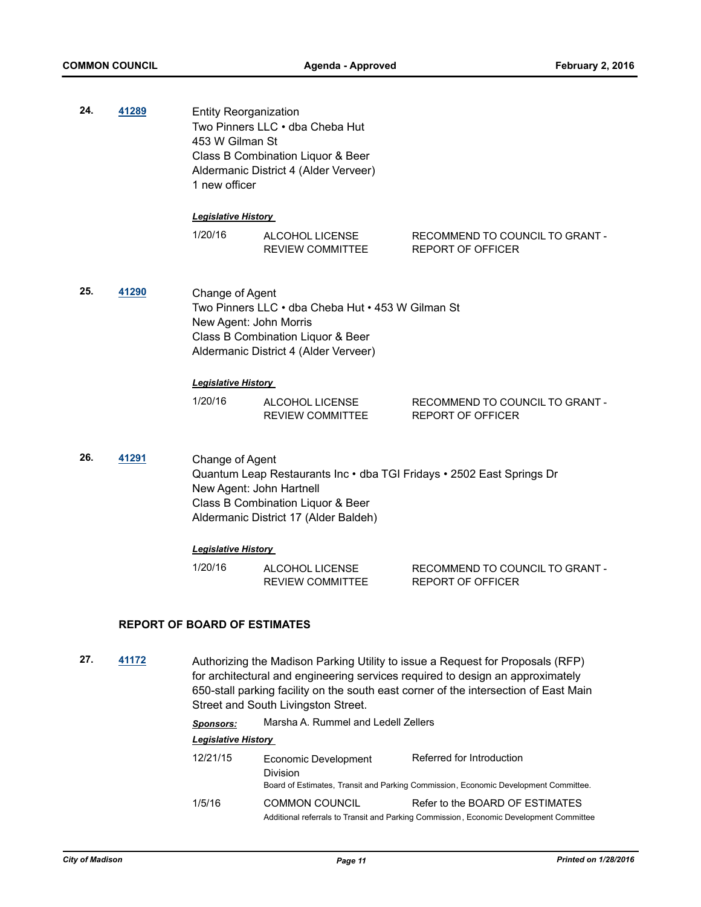| 24. | <u>41289</u>                                                                                                                                                                          | <b>Entity Reorganization</b><br>Two Pinners LLC . dba Cheba Hut<br>453 W Gilman St<br>Class B Combination Liquor & Beer<br>Aldermanic District 4 (Alder Verveer)<br>1 new officer                                         |                                                   |                                                                                                                                                                   |
|-----|---------------------------------------------------------------------------------------------------------------------------------------------------------------------------------------|---------------------------------------------------------------------------------------------------------------------------------------------------------------------------------------------------------------------------|---------------------------------------------------|-------------------------------------------------------------------------------------------------------------------------------------------------------------------|
|     |                                                                                                                                                                                       | <b>Legislative History</b>                                                                                                                                                                                                |                                                   |                                                                                                                                                                   |
|     |                                                                                                                                                                                       | 1/20/16                                                                                                                                                                                                                   | ALCOHOL LICENSE<br><b>REVIEW COMMITTEE</b>        | RECOMMEND TO COUNCIL TO GRANT -<br><b>REPORT OF OFFICER</b>                                                                                                       |
| 25. | 41290<br>Change of Agent<br>Two Pinners LLC · dba Cheba Hut · 453 W Gilman St<br>New Agent: John Morris<br>Class B Combination Liquor & Beer<br>Aldermanic District 4 (Alder Verveer) |                                                                                                                                                                                                                           |                                                   |                                                                                                                                                                   |
|     |                                                                                                                                                                                       | <b>Legislative History</b>                                                                                                                                                                                                |                                                   |                                                                                                                                                                   |
|     |                                                                                                                                                                                       | 1/20/16                                                                                                                                                                                                                   | ALCOHOL LICENSE<br><b>REVIEW COMMITTEE</b>        | RECOMMEND TO COUNCIL TO GRANT -<br><b>REPORT OF OFFICER</b>                                                                                                       |
| 26. | 41291                                                                                                                                                                                 | Change of Agent<br>Quantum Leap Restaurants Inc · dba TGI Fridays · 2502 East Springs Dr<br>New Agent: John Hartnell<br>Class B Combination Liquor & Beer<br>Aldermanic District 17 (Alder Baldeh)<br>Legislative History |                                                   |                                                                                                                                                                   |
|     |                                                                                                                                                                                       |                                                                                                                                                                                                                           |                                                   |                                                                                                                                                                   |
|     |                                                                                                                                                                                       | 1/20/16                                                                                                                                                                                                                   | <b>ALCOHOL LICENSE</b><br><b>REVIEW COMMITTEE</b> | RECOMMEND TO COUNCIL TO GRANT -<br><b>REPORT OF OFFICER</b>                                                                                                       |
|     |                                                                                                                                                                                       | <b>REPORT OF BOARD OF ESTIMATES</b>                                                                                                                                                                                       |                                                   |                                                                                                                                                                   |
| 27. | 41172                                                                                                                                                                                 |                                                                                                                                                                                                                           |                                                   | Authorizing the Madison Parking Utility to issue a Request for Proposals (RFP)<br>for architectural and engineering consigent required to decise an engravimately |

for architectural and engineering services required to design an approximately 650-stall parking facility on the south east corner of the intersection of East Main Street and South Livingston Street.

*Sponsors:* Marsha A. Rummel and Ledell Zellers

| 12/21/15 | Economic Development<br>Division | Referred for Introduction<br>Board of Estimates, Transit and Parking Commission, Economic Development Committee.          |
|----------|----------------------------------|---------------------------------------------------------------------------------------------------------------------------|
| 1/5/16   | <b>COMMON COUNCIL</b>            | Refer to the BOARD OF ESTIMATES<br>Additional referrals to Transit and Parking Commission, Economic Development Committee |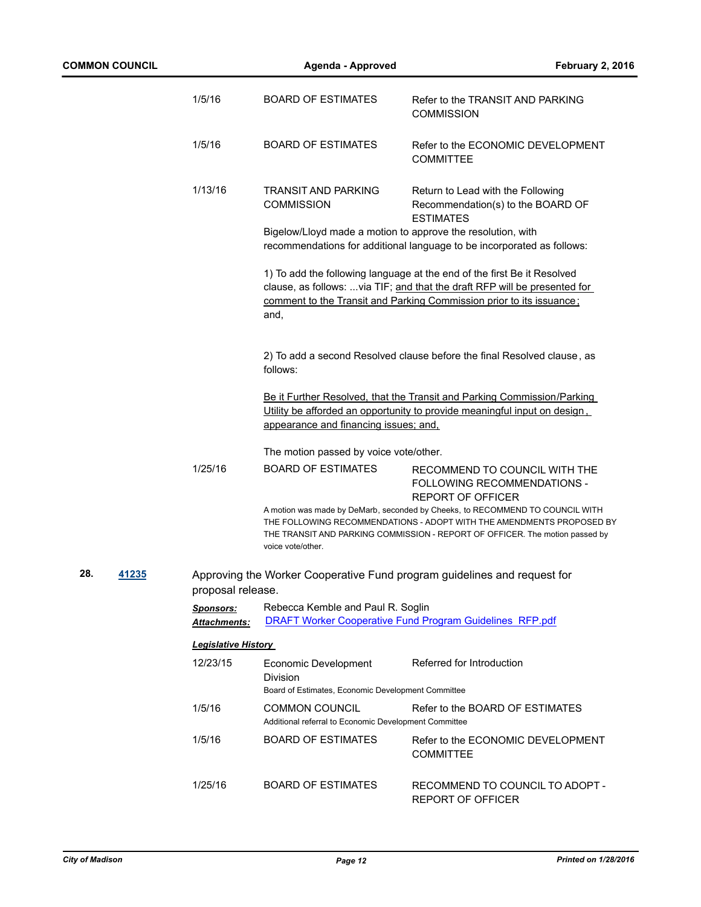|     |       | 1/5/16                           | <b>BOARD OF ESTIMATES</b>                                                              | Refer to the TRANSIT AND PARKING<br><b>COMMISSION</b>                                                                                                                                                                                  |
|-----|-------|----------------------------------|----------------------------------------------------------------------------------------|----------------------------------------------------------------------------------------------------------------------------------------------------------------------------------------------------------------------------------------|
|     |       | 1/5/16                           | <b>BOARD OF ESTIMATES</b>                                                              | Refer to the ECONOMIC DEVELOPMENT<br><b>COMMITTEE</b>                                                                                                                                                                                  |
|     |       | 1/13/16                          | <b>TRANSIT AND PARKING</b><br><b>COMMISSION</b>                                        | Return to Lead with the Following<br>Recommendation(s) to the BOARD OF<br><b>ESTIMATES</b>                                                                                                                                             |
|     |       |                                  | Bigelow/Lloyd made a motion to approve the resolution, with                            | recommendations for additional language to be incorporated as follows:                                                                                                                                                                 |
|     |       |                                  | and,                                                                                   | 1) To add the following language at the end of the first Be it Resolved<br>clause, as follows:  via TIF; and that the draft RFP will be presented for<br>comment to the Transit and Parking Commission prior to its issuance:          |
|     |       |                                  | follows:                                                                               | 2) To add a second Resolved clause before the final Resolved clause, as                                                                                                                                                                |
|     |       |                                  | appearance and financing issues; and,                                                  | Be it Further Resolved, that the Transit and Parking Commission/Parking<br>Utility be afforded an opportunity to provide meaningful input on design.                                                                                   |
|     |       |                                  | The motion passed by voice vote/other.                                                 |                                                                                                                                                                                                                                        |
|     |       | 1/25/16                          | <b>BOARD OF ESTIMATES</b>                                                              | RECOMMEND TO COUNCIL WITH THE<br>FOLLOWING RECOMMENDATIONS -<br><b>REPORT OF OFFICER</b>                                                                                                                                               |
|     |       |                                  | voice vote/other.                                                                      | A motion was made by DeMarb, seconded by Cheeks, to RECOMMEND TO COUNCIL WITH<br>THE FOLLOWING RECOMMENDATIONS - ADOPT WITH THE AMENDMENTS PROPOSED BY<br>THE TRANSIT AND PARKING COMMISSION - REPORT OF OFFICER. The motion passed by |
| 28. | 41235 | proposal release.                |                                                                                        | Approving the Worker Cooperative Fund program guidelines and request for                                                                                                                                                               |
|     |       | <b>Sponsors:</b><br>Attachments: | Rebecca Kemble and Paul R. Soglin                                                      | <b>DRAFT Worker Cooperative Fund Program Guidelines RFP.pdf</b>                                                                                                                                                                        |
|     |       | <b>Legislative History</b>       |                                                                                        |                                                                                                                                                                                                                                        |
|     |       | 12/23/15                         | Economic Development<br>Division<br>Board of Estimates, Economic Development Committee | Referred for Introduction                                                                                                                                                                                                              |
|     |       | 1/5/16                           | <b>COMMON COUNCIL</b><br>Additional referral to Economic Development Committee         | Refer to the BOARD OF ESTIMATES                                                                                                                                                                                                        |
|     |       | 1/5/16                           | <b>BOARD OF ESTIMATES</b>                                                              | Refer to the ECONOMIC DEVELOPMENT<br><b>COMMITTEE</b>                                                                                                                                                                                  |

**COMMON COUNCIL Agenda - Approved February 2, 2016**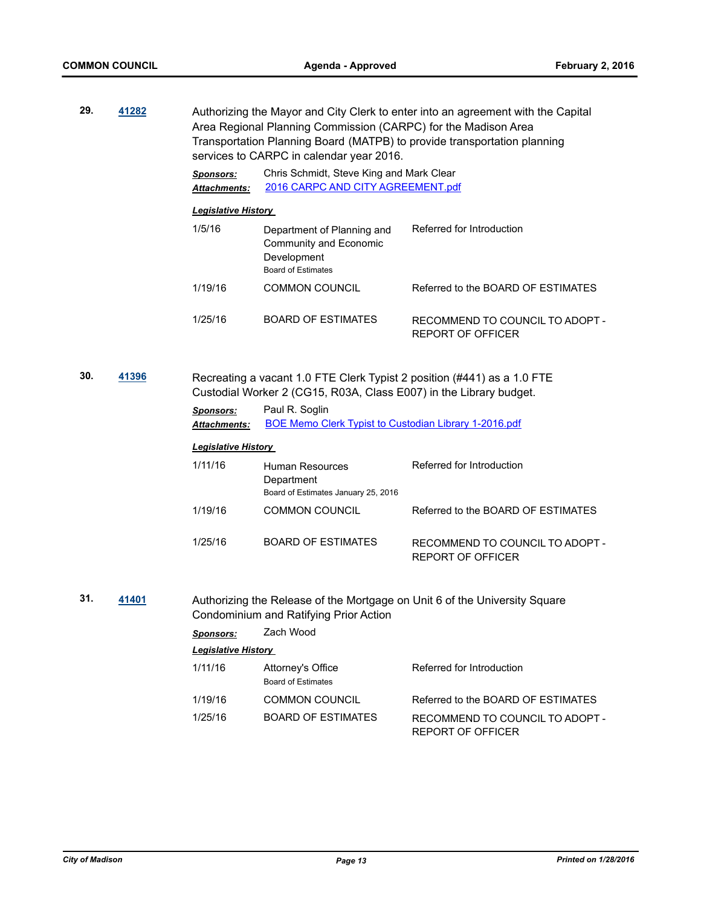| 29.<br>41282 |       | Authorizing the Mayor and City Clerk to enter into an agreement with the Capital<br>Area Regional Planning Commission (CARPC) for the Madison Area<br>Transportation Planning Board (MATPB) to provide transportation planning<br>services to CARPC in calendar year 2016. |                                                                                                  |                                                                            |  |
|--------------|-------|----------------------------------------------------------------------------------------------------------------------------------------------------------------------------------------------------------------------------------------------------------------------------|--------------------------------------------------------------------------------------------------|----------------------------------------------------------------------------|--|
|              |       | <b>Sponsors:</b><br><b>Attachments:</b>                                                                                                                                                                                                                                    | Chris Schmidt, Steve King and Mark Clear<br>2016 CARPC AND CITY AGREEMENT.pdf                    |                                                                            |  |
|              |       | <b>Legislative History</b>                                                                                                                                                                                                                                                 |                                                                                                  |                                                                            |  |
|              |       | 1/5/16                                                                                                                                                                                                                                                                     | Department of Planning and<br>Community and Economic<br>Development<br><b>Board of Estimates</b> | Referred for Introduction                                                  |  |
|              |       | 1/19/16                                                                                                                                                                                                                                                                    | <b>COMMON COUNCIL</b>                                                                            | Referred to the BOARD OF ESTIMATES                                         |  |
|              |       | 1/25/16                                                                                                                                                                                                                                                                    | <b>BOARD OF ESTIMATES</b>                                                                        | RECOMMEND TO COUNCIL TO ADOPT -<br><b>REPORT OF OFFICER</b>                |  |
| 30.          | 41396 | Recreating a vacant 1.0 FTE Clerk Typist 2 position (#441) as a 1.0 FTE<br>Custodial Worker 2 (CG15, R03A, Class E007) in the Library budget.                                                                                                                              |                                                                                                  |                                                                            |  |
|              |       | Sponsors:<br>Attachments:                                                                                                                                                                                                                                                  | Paul R. Soglin<br><b>BOE Memo Clerk Typist to Custodian Library 1-2016.pdf</b>                   |                                                                            |  |
|              |       | <b>Legislative History</b>                                                                                                                                                                                                                                                 |                                                                                                  |                                                                            |  |
|              |       | 1/11/16                                                                                                                                                                                                                                                                    | <b>Human Resources</b><br>Department<br>Board of Estimates January 25, 2016                      | Referred for Introduction                                                  |  |
|              |       | 1/19/16                                                                                                                                                                                                                                                                    | <b>COMMON COUNCIL</b>                                                                            | Referred to the BOARD OF ESTIMATES                                         |  |
|              |       | 1/25/16                                                                                                                                                                                                                                                                    | <b>BOARD OF ESTIMATES</b>                                                                        | RECOMMEND TO COUNCIL TO ADOPT -<br><b>REPORT OF OFFICER</b>                |  |
| 31.          | 41401 |                                                                                                                                                                                                                                                                            | Condominium and Ratifying Prior Action                                                           | Authorizing the Release of the Mortgage on Unit 6 of the University Square |  |
|              |       | <b>Sponsors:</b>                                                                                                                                                                                                                                                           | Zach Wood                                                                                        |                                                                            |  |
|              |       | Legislative History                                                                                                                                                                                                                                                        |                                                                                                  |                                                                            |  |
|              |       | 1/11/16                                                                                                                                                                                                                                                                    | Attorney's Office<br><b>Board of Estimates</b>                                                   | Referred for Introduction                                                  |  |
|              |       | 1/19/16                                                                                                                                                                                                                                                                    | <b>COMMON COUNCIL</b>                                                                            | Referred to the BOARD OF ESTIMATES                                         |  |
|              |       | 1/25/16                                                                                                                                                                                                                                                                    | <b>BOARD OF ESTIMATES</b>                                                                        | RECOMMEND TO COUNCIL TO ADOPT -<br>REPORT OF OFFICER                       |  |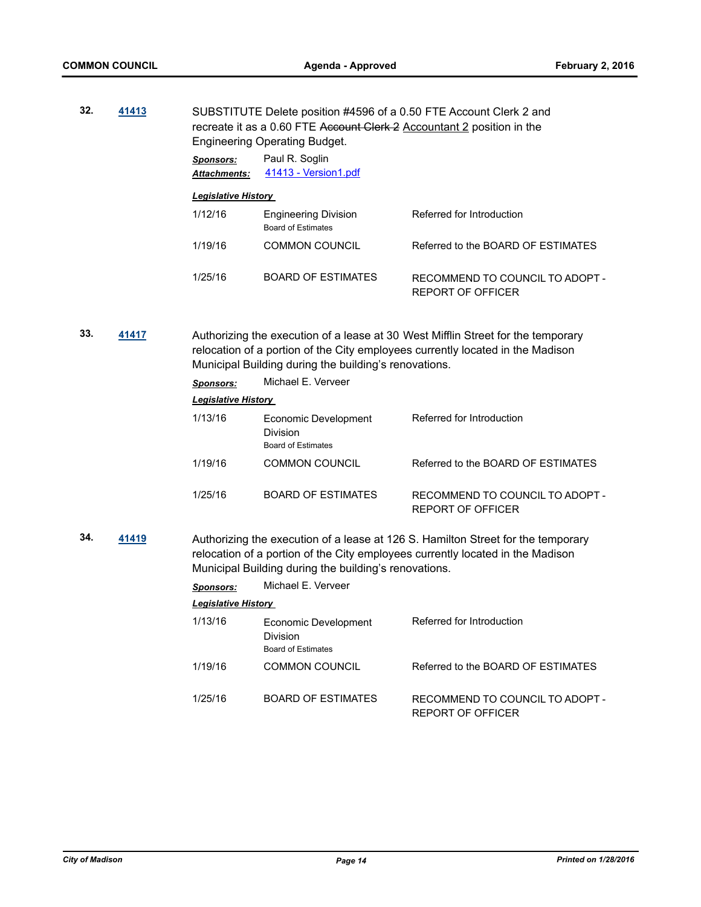| 41413 | SUBSTITUTE Delete position #4596 of a 0.50 FTE Account Clerk 2 and<br>recreate it as a 0.60 FTE Account Clerk 2 Accountant 2 position in the<br><b>Engineering Operating Budget.</b> |                                                   |                                                      |  |
|-------|--------------------------------------------------------------------------------------------------------------------------------------------------------------------------------------|---------------------------------------------------|------------------------------------------------------|--|
|       | Sponsors:<br><b>Attachments:</b>                                                                                                                                                     | Paul R. Soglin<br>41413 - Version1.pdf            |                                                      |  |
|       |                                                                                                                                                                                      |                                                   |                                                      |  |
|       | 1/12/16                                                                                                                                                                              | <b>Engineering Division</b><br>Board of Estimates | Referred for Introduction                            |  |
|       | 1/19/16                                                                                                                                                                              | <b>COMMON COUNCIL</b>                             | Referred to the BOARD OF ESTIMATES                   |  |
|       | 1/25/16                                                                                                                                                                              | <b>BOARD OF ESTIMATES</b>                         | RECOMMEND TO COUNCIL TO ADOPT -<br>REPORT OF OFFICER |  |
|       |                                                                                                                                                                                      |                                                   | <b>Legislative History</b>                           |  |

**33. [41417](http://madison.legistar.com/gateway.aspx?m=l&id=/matter.aspx?key=45825)** Authorizing the execution of a lease at 30 West Mifflin Street for the temporary relocation of a portion of the City employees currently located in the Madison

|      | Municipal Building during the building's renovations. |                                                                                  |                                                      |  |
|------|-------------------------------------------------------|----------------------------------------------------------------------------------|------------------------------------------------------|--|
|      | <b>Sponsors:</b>                                      | Michael E. Verveer                                                               |                                                      |  |
|      | <b>Legislative History</b>                            |                                                                                  |                                                      |  |
|      | 1/13/16                                               | Economic Development<br><b>Division</b><br><b>Board of Estimates</b>             | Referred for Introduction                            |  |
|      | 1/19/16                                               | <b>COMMON COUNCIL</b>                                                            | Referred to the BOARD OF ESTIMATES                   |  |
|      | 1/25/16                                               | BOARD OF ESTIMATES                                                               | RECOMMEND TO COUNCIL TO ADOPT -<br>REPORT OF OFFICER |  |
| 1419 |                                                       | Authorizing the execution of a lease at 126 S. Hamilton Street for the temporary |                                                      |  |

**34. [41419](http://madison.legistar.com/gateway.aspx?m=l&id=/matter.aspx?key=45827)** Authorizing the execution of a lease at 126 S. Hamilton Street for the temporary relocation of a portion of the City employees currently located in the Madison Municipal Building during the building's renovations.

*Sponsors:* Michael E. Verveer

| 1/13/16 | Economic Development<br><b>Division</b><br>Board of Estimates | Referred for Introduction                            |
|---------|---------------------------------------------------------------|------------------------------------------------------|
| 1/19/16 | <b>COMMON COUNCIL</b>                                         | Referred to the BOARD OF ESTIMATES                   |
| 1/25/16 | <b>BOARD OF ESTIMATES</b>                                     | RECOMMEND TO COUNCIL TO ADOPT -<br>REPORT OF OFFICER |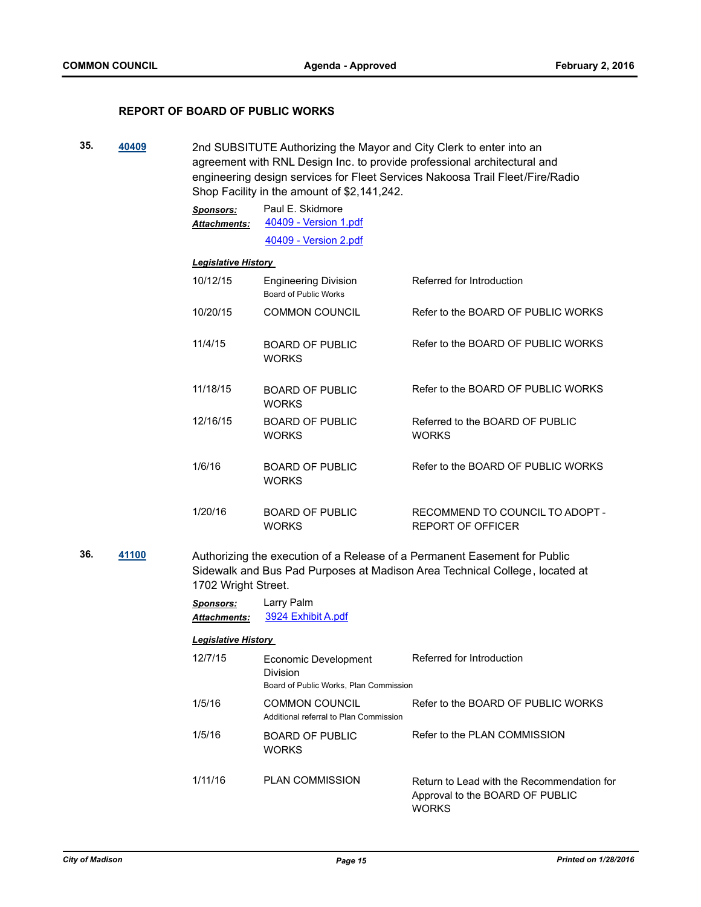#### **REPORT OF BOARD OF PUBLIC WORKS**

**35. [40409](http://madison.legistar.com/gateway.aspx?m=l&id=/matter.aspx?key=43908)** 2nd SUBSITUTE Authorizing the Mayor and City Clerk to enter into an agreement with RNL Design Inc. to provide professional architectural and engineering design services for Fleet Services Nakoosa Trail Fleet/Fire/Radio Shop Facility in the amount of \$2,141,242.

| Sponsors:           | Paul E. Skidmore      |  |
|---------------------|-----------------------|--|
| <b>Attachments:</b> | 40409 - Version 1.pdf |  |
|                     | 40409 - Version 2.pdf |  |

#### *Legislative History*

| 10/12/15 | <b>Engineering Division</b><br>Board of Public Works | Referred for Introduction                       |
|----------|------------------------------------------------------|-------------------------------------------------|
| 10/20/15 | <b>COMMON COUNCIL</b>                                | Refer to the BOARD OF PUBLIC WORKS              |
| 11/4/15  | <b>BOARD OF PUBLIC</b><br><b>WORKS</b>               | Refer to the BOARD OF PUBLIC WORKS              |
| 11/18/15 | <b>BOARD OF PUBLIC</b><br><b>WORKS</b>               | Refer to the BOARD OF PUBLIC WORKS              |
| 12/16/15 | BOARD OF PUBLIC<br><b>WORKS</b>                      | Referred to the BOARD OF PUBLIC<br><b>WORKS</b> |
| 1/6/16   | <b>BOARD OF PUBLIC</b><br><b>WORKS</b>               | Refer to the BOARD OF PUBLIC WORKS              |
| 1/20/16  | BOARD OF PUBLIC                                      | RECOMMEND TO COUNCIL TO ADOPT -                 |

REPORT OF OFFICER

**36. [41100](http://madison.legistar.com/gateway.aspx?m=l&id=/matter.aspx?key=44538)** Authorizing the execution of a Release of a Permanent Easement for Public Sidewalk and Bus Pad Purposes at Madison Area Technical College, located at 1702 Wright Street.

> *Sponsors:* Larry Palm *Attachments:* [3924 Exhibit A.pdf](http://madison.legistar.com/gateway.aspx?M=F&ID=0d6030f3-0b93-4d19-ae40-8187f7e9f204.pdf)

**WORKS** 

#### *Legislative History*

12/7/15 Economic Development Division Referred for Introduction Board of Public Works, Plan Commission 1/5/16 COMMON COUNCIL Refer to the BOARD OF PUBLIC WORKS Additional referral to Plan Commission 1/5/16 BOARD OF PUBLIC WORKS Refer to the PLAN COMMISSION 1/11/16 PLAN COMMISSION Return to Lead with the Recommendation for Approval to the BOARD OF PUBLIC **WORKS**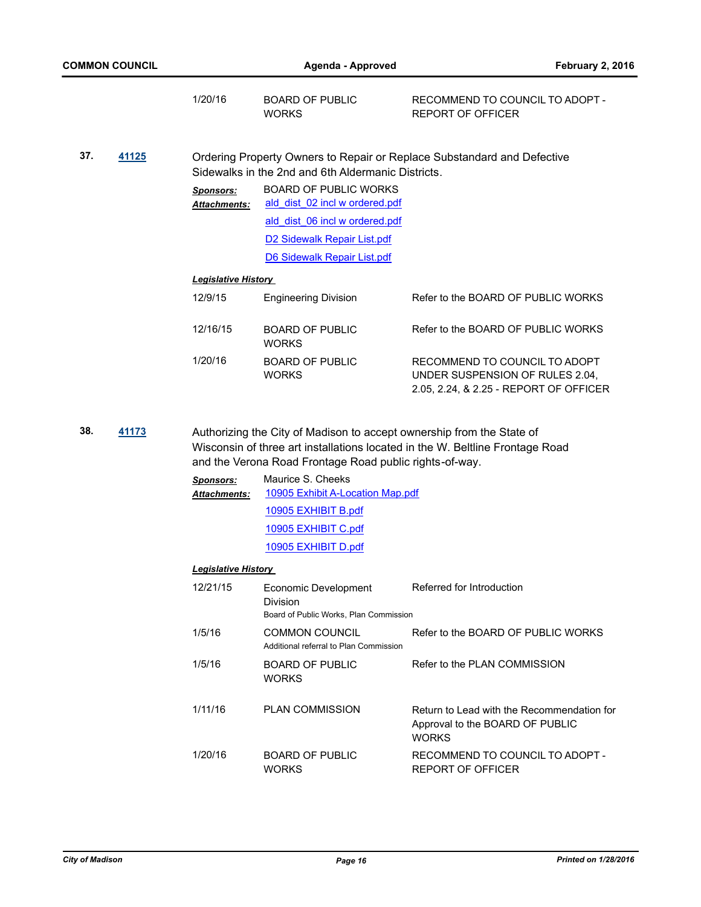|     |       | 1/20/16                                 | <b>BOARD OF PUBLIC</b><br><b>WORKS</b>                                                                                                                                                                               | RECOMMEND TO COUNCIL TO ADOPT -<br><b>REPORT OF OFFICER</b>                                                |  |  |
|-----|-------|-----------------------------------------|----------------------------------------------------------------------------------------------------------------------------------------------------------------------------------------------------------------------|------------------------------------------------------------------------------------------------------------|--|--|
| 37. | 41125 | <b>Sponsors:</b><br>Attachments:        | Sidewalks in the 2nd and 6th Aldermanic Districts.<br><b>BOARD OF PUBLIC WORKS</b><br>ald dist 02 incl w ordered.pdf<br>ald dist 06 incl w ordered.pdf<br>D2 Sidewalk Repair List.pdf<br>D6 Sidewalk Repair List.pdf | Ordering Property Owners to Repair or Replace Substandard and Defective                                    |  |  |
|     |       | <b>Legislative History</b>              |                                                                                                                                                                                                                      |                                                                                                            |  |  |
|     |       | 12/9/15                                 | <b>Engineering Division</b>                                                                                                                                                                                          | Refer to the BOARD OF PUBLIC WORKS                                                                         |  |  |
|     |       | 12/16/15                                | <b>BOARD OF PUBLIC</b><br><b>WORKS</b>                                                                                                                                                                               | Refer to the BOARD OF PUBLIC WORKS                                                                         |  |  |
|     |       | 1/20/16                                 | <b>BOARD OF PUBLIC</b><br><b>WORKS</b>                                                                                                                                                                               | RECOMMEND TO COUNCIL TO ADOPT<br>UNDER SUSPENSION OF RULES 2.04,<br>2.05, 2.24, & 2.25 - REPORT OF OFFICER |  |  |
| 38. | 41173 |                                         | Authorizing the City of Madison to accept ownership from the State of<br>and the Verona Road Frontage Road public rights-of-way.                                                                                     | Wisconsin of three art installations located in the W. Beltline Frontage Road                              |  |  |
|     |       | <b>Sponsors:</b><br><b>Attachments:</b> | Maurice S. Cheeks<br>10905 Exhibit A-Location Map.pdf                                                                                                                                                                |                                                                                                            |  |  |
|     |       |                                         | 10905 EXHIBIT B.pdf                                                                                                                                                                                                  |                                                                                                            |  |  |
|     |       |                                         | 10905 EXHIBIT C.pdf                                                                                                                                                                                                  |                                                                                                            |  |  |
|     |       |                                         | 10905 EXHIBIT D.pdf                                                                                                                                                                                                  |                                                                                                            |  |  |
|     |       | <u> Legislative History</u>             |                                                                                                                                                                                                                      |                                                                                                            |  |  |
|     |       | 12/21/15                                | Economic Development<br>Division<br>Board of Public Works, Plan Commission                                                                                                                                           | Referred for Introduction                                                                                  |  |  |
|     |       | 1/5/16                                  | <b>COMMON COUNCIL</b><br>Additional referral to Plan Commission                                                                                                                                                      | Refer to the BOARD OF PUBLIC WORKS                                                                         |  |  |
|     |       | 1/5/16                                  | <b>BOARD OF PUBLIC</b><br><b>WORKS</b>                                                                                                                                                                               | Refer to the PLAN COMMISSION                                                                               |  |  |
|     |       | 1/11/16                                 | <b>PLAN COMMISSION</b>                                                                                                                                                                                               | Return to Lead with the Recommendation for<br>Approval to the BOARD OF PUBLIC<br><b>WORKS</b>              |  |  |
|     |       | 1/20/16                                 | <b>BOARD OF PUBLIC</b><br><b>WORKS</b>                                                                                                                                                                               | RECOMMEND TO COUNCIL TO ADOPT -<br>REPORT OF OFFICER                                                       |  |  |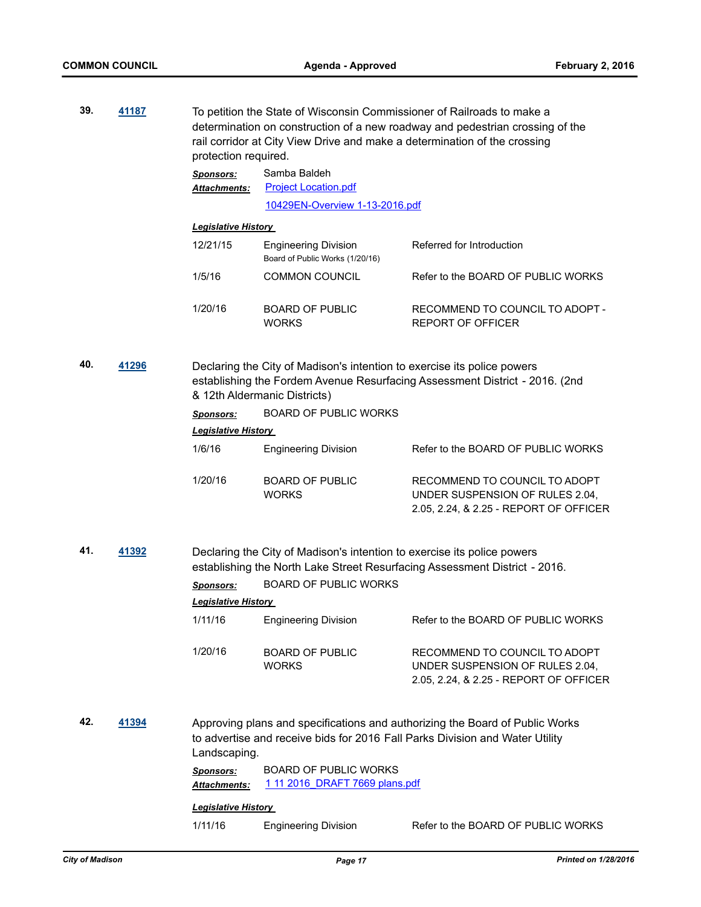| 39. | 41187 | protection required.             | To petition the State of Wisconsin Commissioner of Railroads to make a<br>determination on construction of a new roadway and pedestrian crossing of the<br>rail corridor at City View Drive and make a determination of the crossing |                                                                                                                                                              |  |
|-----|-------|----------------------------------|--------------------------------------------------------------------------------------------------------------------------------------------------------------------------------------------------------------------------------------|--------------------------------------------------------------------------------------------------------------------------------------------------------------|--|
|     |       | <b>Sponsors:</b>                 | Samba Baldeh                                                                                                                                                                                                                         |                                                                                                                                                              |  |
|     |       | Attachments:                     | <b>Project Location.pdf</b>                                                                                                                                                                                                          |                                                                                                                                                              |  |
|     |       |                                  | 10429EN-Overview 1-13-2016.pdf                                                                                                                                                                                                       |                                                                                                                                                              |  |
|     |       | <b>Legislative History</b>       |                                                                                                                                                                                                                                      |                                                                                                                                                              |  |
|     |       | 12/21/15                         | <b>Engineering Division</b><br>Board of Public Works (1/20/16)                                                                                                                                                                       | Referred for Introduction                                                                                                                                    |  |
|     |       | 1/5/16                           | <b>COMMON COUNCIL</b>                                                                                                                                                                                                                | Refer to the BOARD OF PUBLIC WORKS                                                                                                                           |  |
|     |       | 1/20/16                          | <b>BOARD OF PUBLIC</b><br><b>WORKS</b>                                                                                                                                                                                               | RECOMMEND TO COUNCIL TO ADOPT -<br>REPORT OF OFFICER                                                                                                         |  |
| 40. | 41296 |                                  | Declaring the City of Madison's intention to exercise its police powers<br>& 12th Aldermanic Districts)                                                                                                                              | establishing the Fordem Avenue Resurfacing Assessment District - 2016. (2nd                                                                                  |  |
|     |       | <b>Sponsors:</b>                 | <b>BOARD OF PUBLIC WORKS</b>                                                                                                                                                                                                         |                                                                                                                                                              |  |
|     |       | <b>Legislative History</b>       |                                                                                                                                                                                                                                      |                                                                                                                                                              |  |
|     |       | 1/6/16                           | <b>Engineering Division</b>                                                                                                                                                                                                          | Refer to the BOARD OF PUBLIC WORKS                                                                                                                           |  |
|     |       | 1/20/16                          | <b>BOARD OF PUBLIC</b><br><b>WORKS</b>                                                                                                                                                                                               | RECOMMEND TO COUNCIL TO ADOPT<br>UNDER SUSPENSION OF RULES 2.04,<br>2.05, 2.24, & 2.25 - REPORT OF OFFICER                                                   |  |
| 41. | 41392 |                                  | Declaring the City of Madison's intention to exercise its police powers                                                                                                                                                              | establishing the North Lake Street Resurfacing Assessment District - 2016.                                                                                   |  |
|     |       | <b>Sponsors:</b>                 | <b>BOARD OF PUBLIC WORKS</b>                                                                                                                                                                                                         |                                                                                                                                                              |  |
|     |       | <b>Legislative History</b>       |                                                                                                                                                                                                                                      |                                                                                                                                                              |  |
|     |       | 1/11/16                          | <b>Engineering Division</b>                                                                                                                                                                                                          | Refer to the BOARD OF PUBLIC WORKS                                                                                                                           |  |
|     |       | 1/20/16                          | <b>BOARD OF PUBLIC</b><br><b>WORKS</b>                                                                                                                                                                                               | RECOMMEND TO COUNCIL TO ADOPT<br>UNDER SUSPENSION OF RULES 2.04,<br>2.05, 2.24, & 2.25 - REPORT OF OFFICER                                                   |  |
| 42. | 41394 | Landscaping.                     |                                                                                                                                                                                                                                      | Approving plans and specifications and authorizing the Board of Public Works<br>to advertise and receive bids for 2016 Fall Parks Division and Water Utility |  |
|     |       | <b>Sponsors:</b><br>Attachments: | <b>BOARD OF PUBLIC WORKS</b><br>1 11 2016 DRAFT 7669 plans.pdf                                                                                                                                                                       |                                                                                                                                                              |  |
|     |       | <b>Legislative History</b>       |                                                                                                                                                                                                                                      |                                                                                                                                                              |  |
|     |       | 1/11/16                          | <b>Engineering Division</b>                                                                                                                                                                                                          | Refer to the BOARD OF PUBLIC WORKS                                                                                                                           |  |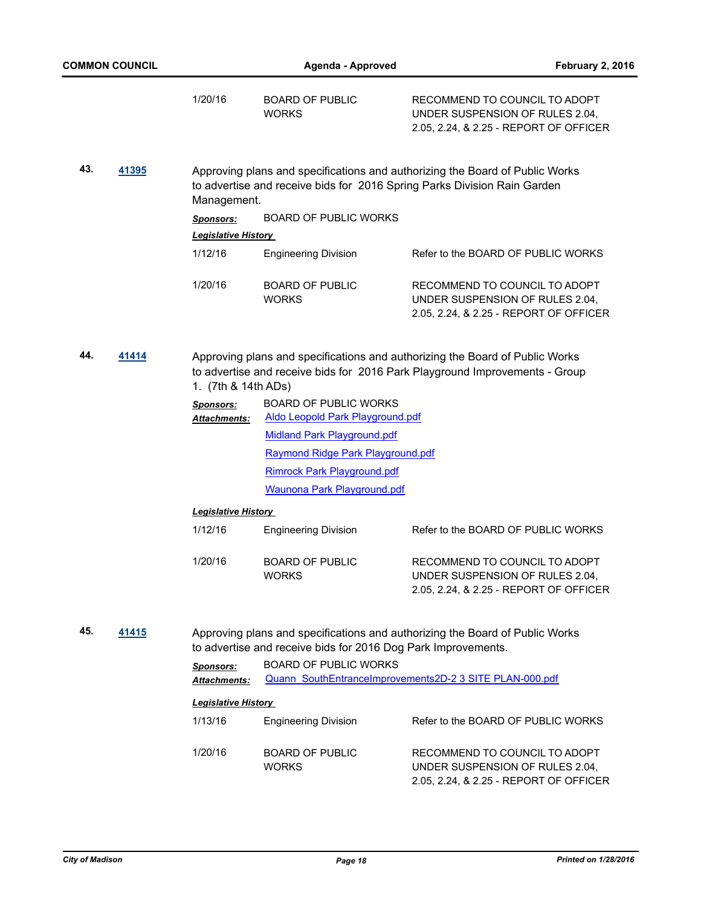|              | <b>COMMON COUNCIL</b> |                                          | Agenda - Approved                                                       | <b>February 2, 2016</b>                                                                                                                                     |
|--------------|-----------------------|------------------------------------------|-------------------------------------------------------------------------|-------------------------------------------------------------------------------------------------------------------------------------------------------------|
|              |                       | 1/20/16                                  | <b>BOARD OF PUBLIC</b><br><b>WORKS</b>                                  | RECOMMEND TO COUNCIL TO ADOPT<br>UNDER SUSPENSION OF RULES 2.04,<br>2.05, 2.24, & 2.25 - REPORT OF OFFICER                                                  |
| 43.<br>41395 |                       | Management.                              |                                                                         | Approving plans and specifications and authorizing the Board of Public Works<br>to advertise and receive bids for 2016 Spring Parks Division Rain Garden    |
|              |                       | <b>Sponsors:</b>                         | <b>BOARD OF PUBLIC WORKS</b>                                            |                                                                                                                                                             |
|              |                       | <b>Legislative History</b>               |                                                                         |                                                                                                                                                             |
|              |                       | 1/12/16                                  | <b>Engineering Division</b>                                             | Refer to the BOARD OF PUBLIC WORKS                                                                                                                          |
|              |                       | 1/20/16                                  | <b>BOARD OF PUBLIC</b><br><b>WORKS</b>                                  | RECOMMEND TO COUNCIL TO ADOPT<br>UNDER SUSPENSION OF RULES 2.04,<br>2.05, 2.24, & 2.25 - REPORT OF OFFICER                                                  |
| 44.          | 41414                 | 1. (7th & 14th ADs)                      |                                                                         | Approving plans and specifications and authorizing the Board of Public Works<br>to advertise and receive bids for 2016 Park Playground Improvements - Group |
|              |                       | <b>Sponsors:</b><br><u> Attachments:</u> | <b>BOARD OF PUBLIC WORKS</b><br><b>Aldo Leopold Park Playground.pdf</b> |                                                                                                                                                             |
|              |                       |                                          | <b>Midland Park Playground.pdf</b>                                      |                                                                                                                                                             |
|              |                       |                                          | Raymond Ridge Park Playground.pdf                                       |                                                                                                                                                             |
|              |                       |                                          | <b>Rimrock Park Playground.pdf</b>                                      |                                                                                                                                                             |
|              |                       |                                          | <b>Waunona Park Playground.pdf</b>                                      |                                                                                                                                                             |
|              |                       | <b>Legislative History</b>               |                                                                         |                                                                                                                                                             |
|              |                       | 1/12/16                                  | <b>Engineering Division</b>                                             | Refer to the BOARD OF PUBLIC WORKS                                                                                                                          |
|              |                       | 1/20/16                                  | <b>BOARD OF PUBLIC</b><br><b>WORKS</b>                                  | RECOMMEND TO COUNCIL TO ADOPT<br>UNDER SUSPENSION OF RULES 2.04,<br>2.05, 2.24, & 2.25 - REPORT OF OFFICER                                                  |
| 45.          | 41415                 |                                          | to advertise and receive bids for 2016 Dog Park Improvements.           | Approving plans and specifications and authorizing the Board of Public Works                                                                                |
|              |                       | <b>Sponsors:</b>                         | <b>BOARD OF PUBLIC WORKS</b>                                            |                                                                                                                                                             |
|              |                       | Attachments:                             |                                                                         | Quann SouthEntranceImprovements2D-2 3 SITE PLAN-000.pdf                                                                                                     |
|              |                       | <b>Legislative History</b>               |                                                                         |                                                                                                                                                             |
|              |                       | 1/13/16                                  | <b>Engineering Division</b>                                             | Refer to the BOARD OF PUBLIC WORKS                                                                                                                          |
|              |                       | 1/20/16                                  | <b>BOARD OF PUBLIC</b><br><b>WORKS</b>                                  | RECOMMEND TO COUNCIL TO ADOPT<br>UNDER SUSPENSION OF RULES 2.04,<br>2.05, 2.24, & 2.25 - REPORT OF OFFICER                                                  |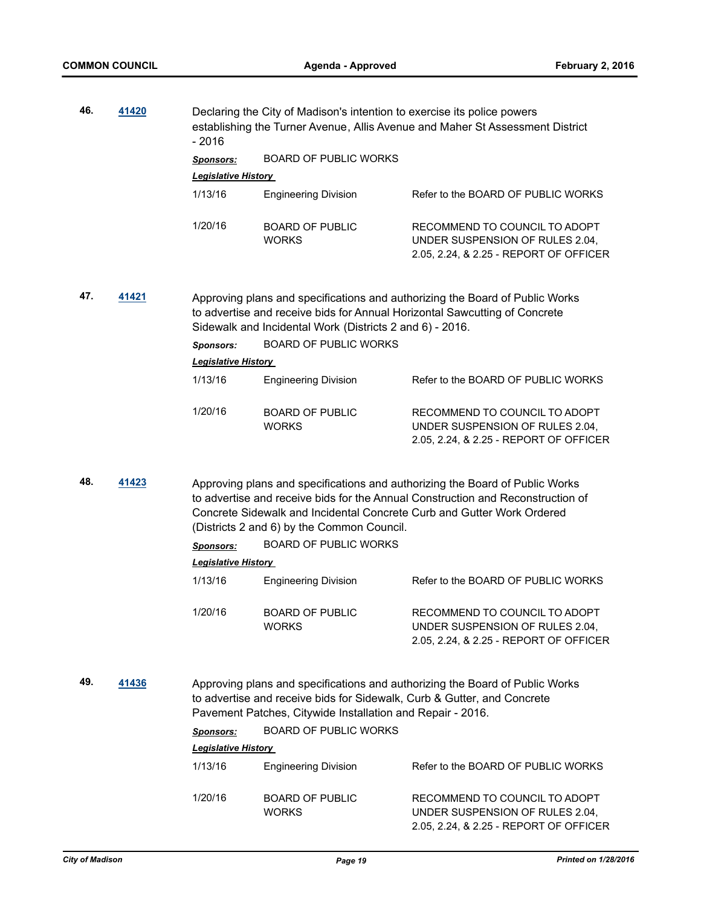| 46.<br>41420<br>$-2016$                                                                                                                                                                                                               |       | Declaring the City of Madison's intention to exercise its police powers | establishing the Turner Avenue, Allis Avenue and Maher St Assessment District                                                                                                                                          |                                                                                                                                                                                                                                           |  |  |
|---------------------------------------------------------------------------------------------------------------------------------------------------------------------------------------------------------------------------------------|-------|-------------------------------------------------------------------------|------------------------------------------------------------------------------------------------------------------------------------------------------------------------------------------------------------------------|-------------------------------------------------------------------------------------------------------------------------------------------------------------------------------------------------------------------------------------------|--|--|
|                                                                                                                                                                                                                                       |       | <b>Sponsors:</b>                                                        | <b>BOARD OF PUBLIC WORKS</b>                                                                                                                                                                                           |                                                                                                                                                                                                                                           |  |  |
|                                                                                                                                                                                                                                       |       | <b>Legislative History</b>                                              |                                                                                                                                                                                                                        |                                                                                                                                                                                                                                           |  |  |
|                                                                                                                                                                                                                                       |       | 1/13/16                                                                 | <b>Engineering Division</b>                                                                                                                                                                                            | Refer to the BOARD OF PUBLIC WORKS                                                                                                                                                                                                        |  |  |
|                                                                                                                                                                                                                                       |       | 1/20/16                                                                 | <b>BOARD OF PUBLIC</b><br><b>WORKS</b>                                                                                                                                                                                 | RECOMMEND TO COUNCIL TO ADOPT<br>UNDER SUSPENSION OF RULES 2.04,<br>2.05, 2.24, & 2.25 - REPORT OF OFFICER                                                                                                                                |  |  |
| 47.<br>41421                                                                                                                                                                                                                          |       |                                                                         | Approving plans and specifications and authorizing the Board of Public Works<br>to advertise and receive bids for Annual Horizontal Sawcutting of Concrete<br>Sidewalk and Incidental Work (Districts 2 and 6) - 2016. |                                                                                                                                                                                                                                           |  |  |
|                                                                                                                                                                                                                                       |       | <b>Sponsors:</b>                                                        | <b>BOARD OF PUBLIC WORKS</b>                                                                                                                                                                                           |                                                                                                                                                                                                                                           |  |  |
|                                                                                                                                                                                                                                       |       | Legislative History                                                     |                                                                                                                                                                                                                        |                                                                                                                                                                                                                                           |  |  |
|                                                                                                                                                                                                                                       |       | 1/13/16                                                                 | <b>Engineering Division</b>                                                                                                                                                                                            | Refer to the BOARD OF PUBLIC WORKS                                                                                                                                                                                                        |  |  |
|                                                                                                                                                                                                                                       |       | 1/20/16                                                                 | <b>BOARD OF PUBLIC</b><br><b>WORKS</b>                                                                                                                                                                                 | RECOMMEND TO COUNCIL TO ADOPT<br>UNDER SUSPENSION OF RULES 2.04,<br>2.05, 2.24, & 2.25 - REPORT OF OFFICER                                                                                                                                |  |  |
| 48.                                                                                                                                                                                                                                   | 41423 |                                                                         | (Districts 2 and 6) by the Common Council.                                                                                                                                                                             | Approving plans and specifications and authorizing the Board of Public Works<br>to advertise and receive bids for the Annual Construction and Reconstruction of<br>Concrete Sidewalk and Incidental Concrete Curb and Gutter Work Ordered |  |  |
|                                                                                                                                                                                                                                       |       | <b>Sponsors:</b>                                                        | <b>BOARD OF PUBLIC WORKS</b>                                                                                                                                                                                           |                                                                                                                                                                                                                                           |  |  |
|                                                                                                                                                                                                                                       |       | <b>Legislative History</b>                                              |                                                                                                                                                                                                                        |                                                                                                                                                                                                                                           |  |  |
|                                                                                                                                                                                                                                       |       | 1/13/16                                                                 | <b>Engineering Division</b>                                                                                                                                                                                            | Refer to the BOARD OF PUBLIC WORKS                                                                                                                                                                                                        |  |  |
|                                                                                                                                                                                                                                       |       | 1/20/16                                                                 | <b>BOARD OF PUBLIC</b><br><b>WORKS</b>                                                                                                                                                                                 | RECOMMEND TO COUNCIL TO ADOPT<br>UNDER SUSPENSION OF RULES 2.04,<br>2.05, 2.24, & 2.25 - REPORT OF OFFICER                                                                                                                                |  |  |
| 49.<br>41436<br>Approving plans and specifications and authorizing the Board of Public Works<br>to advertise and receive bids for Sidewalk, Curb & Gutter, and Concrete<br>Pavement Patches, Citywide Installation and Repair - 2016. |       |                                                                         |                                                                                                                                                                                                                        |                                                                                                                                                                                                                                           |  |  |
|                                                                                                                                                                                                                                       |       | <b>Sponsors:</b>                                                        | <b>BOARD OF PUBLIC WORKS</b>                                                                                                                                                                                           |                                                                                                                                                                                                                                           |  |  |
|                                                                                                                                                                                                                                       |       | <b>Legislative History</b>                                              |                                                                                                                                                                                                                        |                                                                                                                                                                                                                                           |  |  |
|                                                                                                                                                                                                                                       |       | 1/13/16                                                                 | <b>Engineering Division</b>                                                                                                                                                                                            | Refer to the BOARD OF PUBLIC WORKS                                                                                                                                                                                                        |  |  |
|                                                                                                                                                                                                                                       |       | 1/20/16                                                                 | <b>BOARD OF PUBLIC</b><br><b>WORKS</b>                                                                                                                                                                                 | RECOMMEND TO COUNCIL TO ADOPT<br>UNDER SUSPENSION OF RULES 2.04,<br>2.05, 2.24, & 2.25 - REPORT OF OFFICER                                                                                                                                |  |  |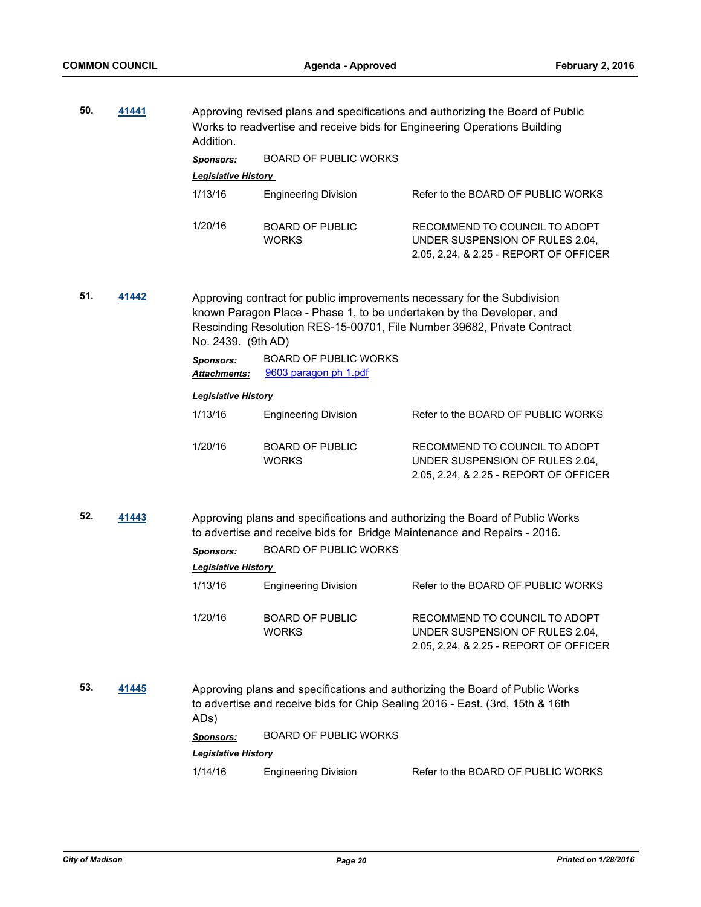| 50.          | 41441 | Addition.                               | Approving revised plans and specifications and authorizing the Board of Public<br>Works to readvertise and receive bids for Engineering Operations Building                                                                                        |                                                                                                                                                               |  |  |
|--------------|-------|-----------------------------------------|----------------------------------------------------------------------------------------------------------------------------------------------------------------------------------------------------------------------------------------------------|---------------------------------------------------------------------------------------------------------------------------------------------------------------|--|--|
|              |       | <b>Sponsors:</b>                        | <b>BOARD OF PUBLIC WORKS</b>                                                                                                                                                                                                                       |                                                                                                                                                               |  |  |
|              |       | Legislative History                     |                                                                                                                                                                                                                                                    |                                                                                                                                                               |  |  |
|              |       | 1/13/16                                 | <b>Engineering Division</b>                                                                                                                                                                                                                        | Refer to the BOARD OF PUBLIC WORKS                                                                                                                            |  |  |
|              |       | 1/20/16                                 | <b>BOARD OF PUBLIC</b><br><b>WORKS</b>                                                                                                                                                                                                             | RECOMMEND TO COUNCIL TO ADOPT<br>UNDER SUSPENSION OF RULES 2.04,<br>2.05, 2.24, & 2.25 - REPORT OF OFFICER                                                    |  |  |
| 51.<br>41442 |       |                                         | Approving contract for public improvements necessary for the Subdivision<br>known Paragon Place - Phase 1, to be undertaken by the Developer, and<br>Rescinding Resolution RES-15-00701, File Number 39682, Private Contract<br>No. 2439. (9th AD) |                                                                                                                                                               |  |  |
|              |       | <b>Sponsors:</b><br><b>Attachments:</b> | <b>BOARD OF PUBLIC WORKS</b><br>9603 paragon ph 1.pdf                                                                                                                                                                                              |                                                                                                                                                               |  |  |
|              |       | <b>Legislative History</b>              |                                                                                                                                                                                                                                                    |                                                                                                                                                               |  |  |
|              |       | 1/13/16                                 | <b>Engineering Division</b>                                                                                                                                                                                                                        | Refer to the BOARD OF PUBLIC WORKS                                                                                                                            |  |  |
|              |       | 1/20/16                                 | <b>BOARD OF PUBLIC</b><br><b>WORKS</b>                                                                                                                                                                                                             | RECOMMEND TO COUNCIL TO ADOPT<br>UNDER SUSPENSION OF RULES 2.04,<br>2.05, 2.24, & 2.25 - REPORT OF OFFICER                                                    |  |  |
| 52.          | 41443 |                                         |                                                                                                                                                                                                                                                    | Approving plans and specifications and authorizing the Board of Public Works<br>to advertise and receive bids for Bridge Maintenance and Repairs - 2016.      |  |  |
|              |       | <b>Sponsors:</b>                        | <b>BOARD OF PUBLIC WORKS</b>                                                                                                                                                                                                                       |                                                                                                                                                               |  |  |
|              |       | <b>Legislative History</b>              |                                                                                                                                                                                                                                                    |                                                                                                                                                               |  |  |
|              |       | 1/13/16                                 | <b>Engineering Division</b>                                                                                                                                                                                                                        | Refer to the BOARD OF PUBLIC WORKS                                                                                                                            |  |  |
|              |       | 1/20/16                                 | <b>BOARD OF PUBLIC</b><br><b>WORKS</b>                                                                                                                                                                                                             | RECOMMEND TO COUNCIL TO ADOPT<br>UNDER SUSPENSION OF RULES 2.04,<br>2.05, 2.24, & 2.25 - REPORT OF OFFICER                                                    |  |  |
| 53.          | 41445 | ADs)                                    |                                                                                                                                                                                                                                                    | Approving plans and specifications and authorizing the Board of Public Works<br>to advertise and receive bids for Chip Sealing 2016 - East. (3rd, 15th & 16th |  |  |
|              |       | <b>Sponsors:</b>                        | <b>BOARD OF PUBLIC WORKS</b>                                                                                                                                                                                                                       |                                                                                                                                                               |  |  |
|              |       | <b>Legislative History</b>              |                                                                                                                                                                                                                                                    |                                                                                                                                                               |  |  |
|              |       | 1/14/16                                 | <b>Engineering Division</b>                                                                                                                                                                                                                        | Refer to the BOARD OF PUBLIC WORKS                                                                                                                            |  |  |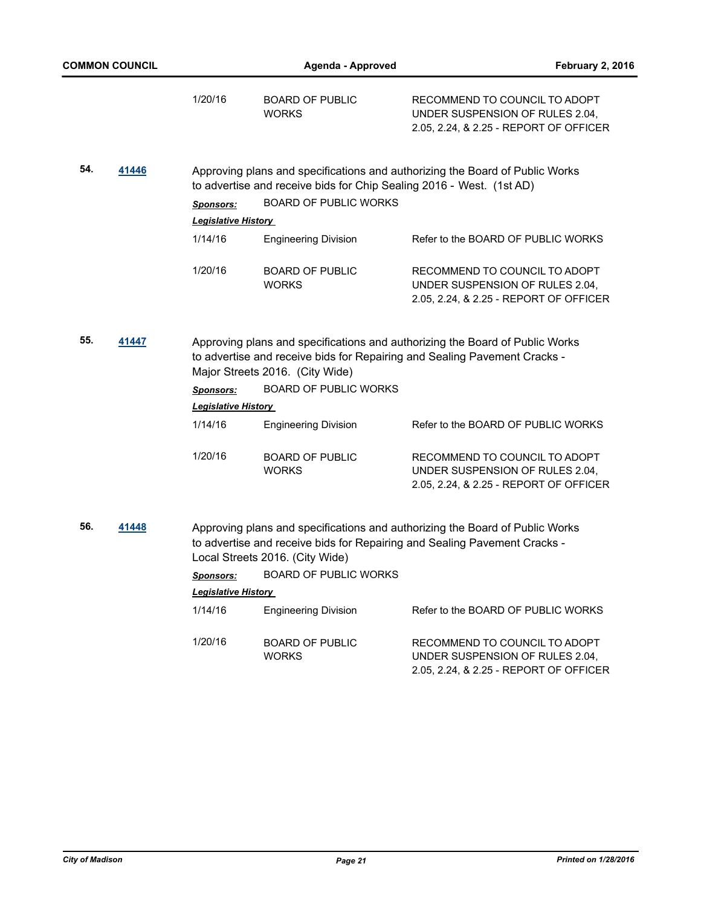| <b>COMMON COUNCIL</b> |       |                            | Agenda - Approved                      | <b>February 2, 2016</b>                                                                                                                                   |
|-----------------------|-------|----------------------------|----------------------------------------|-----------------------------------------------------------------------------------------------------------------------------------------------------------|
|                       |       | 1/20/16                    | <b>BOARD OF PUBLIC</b><br><b>WORKS</b> | RECOMMEND TO COUNCIL TO ADOPT<br>UNDER SUSPENSION OF RULES 2.04,<br>2.05, 2.24, & 2.25 - REPORT OF OFFICER                                                |
| 54.                   | 41446 |                            |                                        | Approving plans and specifications and authorizing the Board of Public Works<br>to advertise and receive bids for Chip Sealing 2016 - West. (1st AD)      |
|                       |       | Sponsors:                  | <b>BOARD OF PUBLIC WORKS</b>           |                                                                                                                                                           |
|                       |       | <b>Legislative History</b> |                                        |                                                                                                                                                           |
|                       |       | 1/14/16                    | <b>Engineering Division</b>            | Refer to the BOARD OF PUBLIC WORKS                                                                                                                        |
|                       |       | 1/20/16                    | <b>BOARD OF PUBLIC</b><br><b>WORKS</b> | RECOMMEND TO COUNCIL TO ADOPT<br>UNDER SUSPENSION OF RULES 2.04,<br>2.05, 2.24, & 2.25 - REPORT OF OFFICER                                                |
| 55.<br>41447          |       |                            | Major Streets 2016. (City Wide)        | Approving plans and specifications and authorizing the Board of Public Works<br>to advertise and receive bids for Repairing and Sealing Pavement Cracks - |
|                       |       | <b>Sponsors:</b>           | <b>BOARD OF PUBLIC WORKS</b>           |                                                                                                                                                           |
|                       |       | <b>Legislative History</b> |                                        |                                                                                                                                                           |
|                       |       | 1/14/16                    | <b>Engineering Division</b>            | Refer to the BOARD OF PUBLIC WORKS                                                                                                                        |
|                       |       | 1/20/16                    | <b>BOARD OF PUBLIC</b><br><b>WORKS</b> | RECOMMEND TO COUNCIL TO ADOPT<br>UNDER SUSPENSION OF RULES 2.04,<br>2.05, 2.24, & 2.25 - REPORT OF OFFICER                                                |
| 56.                   | 41448 |                            | Local Streets 2016. (City Wide)        | Approving plans and specifications and authorizing the Board of Public Works<br>to advertise and receive bids for Repairing and Sealing Pavement Cracks - |
|                       |       |                            | Sponsors: BOARD OF PUBLIC WORKS        |                                                                                                                                                           |
|                       |       | <b>Legislative History</b> |                                        |                                                                                                                                                           |
|                       |       | 1/14/16                    | <b>Engineering Division</b>            | Refer to the BOARD OF PUBLIC WORKS                                                                                                                        |
|                       |       | 1/20/16                    | <b>BOARD OF PUBLIC</b><br><b>WORKS</b> | RECOMMEND TO COUNCIL TO ADOPT<br>UNDER SUSPENSION OF RULES 2.04,<br>2.05, 2.24, & 2.25 - REPORT OF OFFICER                                                |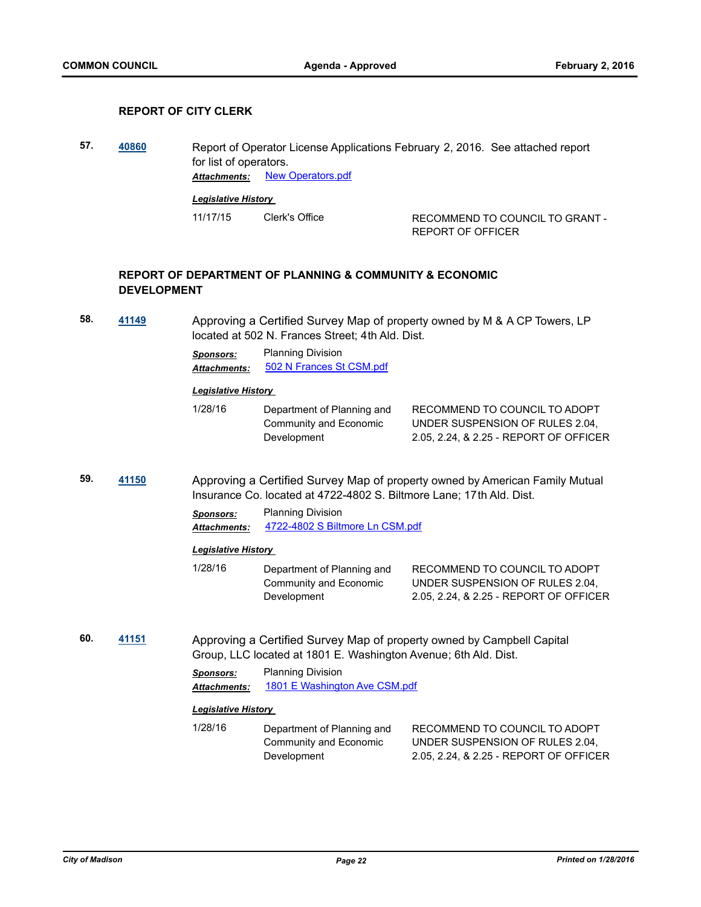## **REPORT OF CITY CLERK**

**57. [40860](http://madison.legistar.com/gateway.aspx?m=l&id=/matter.aspx?key=44323)** Report of Operator License Applications February 2, 2016. See attached report for list of operators. *Attachments:* [New Operators.pdf](http://madison.legistar.com/gateway.aspx?M=F&ID=2924151c-23b3-4bda-b617-f3225d0d0349.pdf) *Legislative History* 

11/17/15 Clerk's Office RECOMMEND TO COUNCIL TO GRANT -REPORT OF OFFICER

## **REPORT OF DEPARTMENT OF PLANNING & COMMUNITY & ECONOMIC DEVELOPMENT**

**58. [41149](http://madison.legistar.com/gateway.aspx?m=l&id=/matter.aspx?key=45586)** Approving a Certified Survey Map of property owned by M & A CP Towers, LP located at 502 N. Frances Street; 4th Ald. Dist.

*Sponsors:* Planning Division

Attachments: [502 N Frances St CSM.pdf](http://madison.legistar.com/gateway.aspx?M=F&ID=82275d27-cf33-4aa2-8202-4c2ec20ef178.pdf)

#### *Legislative History*

| 1/28/16 | Department of Planning and | RECOMMEND TO COUNCIL TO ADOPT          |
|---------|----------------------------|----------------------------------------|
|         | Community and Economic     | UNDER SUSPENSION OF RULES 2.04.        |
|         | Development                | 2.05, 2.24, & 2.25 - REPORT OF OFFICER |

**59. [41150](http://madison.legistar.com/gateway.aspx?m=l&id=/matter.aspx?key=45587)** Approving a Certified Survey Map of property owned by American Family Mutual Insurance Co. located at 4722-4802 S. Biltmore Lane; 17th Ald. Dist.

> *Sponsors:* Planning Division *Attachments:* [4722-4802 S Biltmore Ln CSM.pdf](http://madison.legistar.com/gateway.aspx?M=F&ID=238d65b0-d1e9-4eac-924d-b1fc7691dc5f.pdf)

#### *Legislative History*

- 1/28/16 Department of Planning and Community and Economic Development RECOMMEND TO COUNCIL TO ADOPT UNDER SUSPENSION OF RULES 2.04, 2.05, 2.24, & 2.25 - REPORT OF OFFICER
- **60. [41151](http://madison.legistar.com/gateway.aspx?m=l&id=/matter.aspx?key=45588)** Approving a Certified Survey Map of property owned by Campbell Capital Group, LLC located at 1801 E. Washington Avenue; 6th Ald. Dist.

*Sponsors:* Planning Division *Attachments:* [1801 E Washington Ave CSM.pdf](http://madison.legistar.com/gateway.aspx?M=F&ID=b66651e0-a598-40bc-a776-1e8dea725edc.pdf)

#### *Legislative History*

1/28/16 Department of Planning and Community and Economic Development RECOMMEND TO COUNCIL TO ADOPT UNDER SUSPENSION OF RULES 2.04, 2.05, 2.24, & 2.25 - REPORT OF OFFICER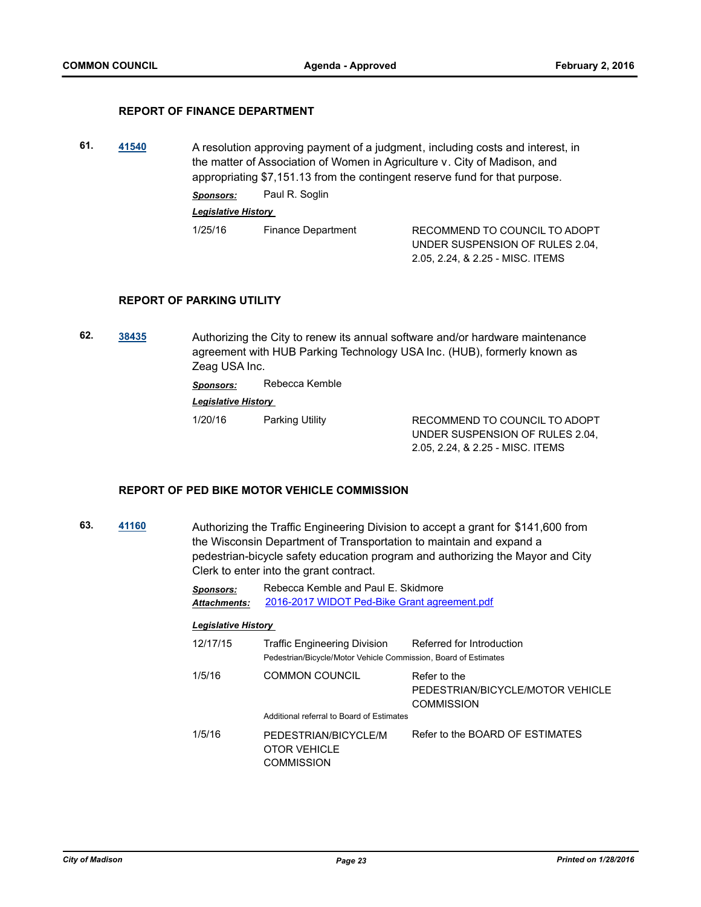## **REPORT OF FINANCE DEPARTMENT**

**61. [41540](http://madison.legistar.com/gateway.aspx?m=l&id=/matter.aspx?key=45933)** A resolution approving payment of a judgment, including costs and interest, in the matter of Association of Women in Agriculture v. City of Madison, and appropriating \$7,151.13 from the contingent reserve fund for that purpose. *Sponsors:* Paul R. Soglin *Legislative History*  1/25/16 Finance Department RECOMMEND TO COUNCIL TO ADOPT UNDER SUSPENSION OF RULES 2.04, 2.05, 2.24, & 2.25 - MISC. ITEMS

#### **REPORT OF PARKING UTILITY**

**62. [38435](http://madison.legistar.com/gateway.aspx?m=l&id=/matter.aspx?key=41125)** Authorizing the City to renew its annual software and/or hardware maintenance agreement with HUB Parking Technology USA Inc. (HUB), formerly known as Zeag USA Inc.

*Sponsors:* Rebecca Kemble

*Legislative History* 

1/20/16 Parking Utility RECOMMEND TO COUNCIL TO ADOPT UNDER SUSPENSION OF RULES 2.04, 2.05, 2.24, & 2.25 - MISC. ITEMS

## **REPORT OF PED BIKE MOTOR VEHICLE COMMISSION**

**63. [41160](http://madison.legistar.com/gateway.aspx?m=l&id=/matter.aspx?key=45597)** Authorizing the Traffic Engineering Division to accept a grant for \$141,600 from the Wisconsin Department of Transportation to maintain and expand a pedestrian-bicycle safety education program and authorizing the Mayor and City Clerk to enter into the grant contract.

> *Sponsors:* Rebecca Kemble and Paul E. Skidmore *Attachments:* [2016-2017 WIDOT Ped-Bike Grant agreement.pdf](http://madison.legistar.com/gateway.aspx?M=F&ID=76657cb8-9e6e-4ffd-ab19-79828221e45a.pdf)

#### *Legislative History*

12/17/15 Traffic Engineering Division Referred for Introduction Pedestrian/Bicycle/Motor Vehicle Commission, Board of Estimates 1/5/16 COMMON COUNCIL Refer to the PEDESTRIAN/BICYCLE/MOTOR VEHICLE COMMISSION Additional referral to Board of Estimates 1/5/16 PEDESTRIAN/BICYCLE/M OTOR VEHICLE **COMMISSION** Refer to the BOARD OF ESTIMATES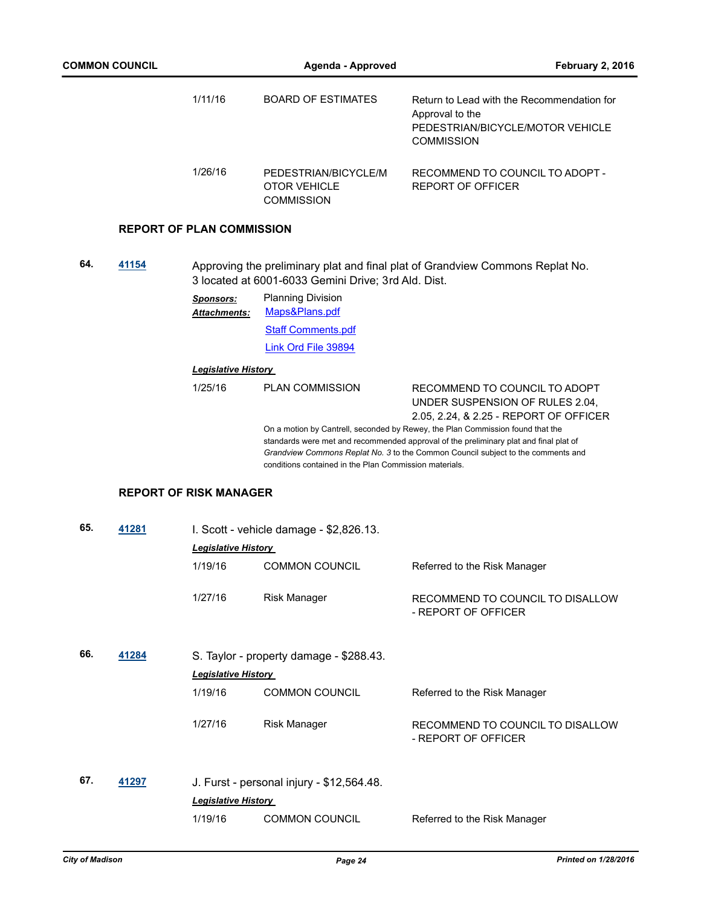|     |       | 1/11/16                                 | <b>BOARD OF ESTIMATES</b>                                        | Return to Lead with the Recommendation for<br>Approval to the<br>PEDESTRIAN/BICYCLE/MOTOR VEHICLE<br><b>COMMISSION</b>                                                                                                                                      |
|-----|-------|-----------------------------------------|------------------------------------------------------------------|-------------------------------------------------------------------------------------------------------------------------------------------------------------------------------------------------------------------------------------------------------------|
|     |       | 1/26/16                                 | PEDESTRIAN/BICYCLE/M<br><b>OTOR VEHICLE</b><br><b>COMMISSION</b> | RECOMMEND TO COUNCIL TO ADOPT -<br><b>REPORT OF OFFICER</b>                                                                                                                                                                                                 |
|     |       | <b>REPORT OF PLAN COMMISSION</b>        |                                                                  |                                                                                                                                                                                                                                                             |
| 64. | 41154 |                                         | 3 located at 6001-6033 Gemini Drive; 3rd Ald. Dist.              | Approving the preliminary plat and final plat of Grandview Commons Replat No.                                                                                                                                                                               |
|     |       | <b>Sponsors:</b><br><b>Attachments:</b> | <b>Planning Division</b><br>Maps&Plans.pdf                       |                                                                                                                                                                                                                                                             |
|     |       |                                         | <b>Staff Comments.pdf</b>                                        |                                                                                                                                                                                                                                                             |
|     |       |                                         | <b>Link Ord File 39894</b>                                       |                                                                                                                                                                                                                                                             |
|     |       | <b>Legislative History</b>              |                                                                  |                                                                                                                                                                                                                                                             |
|     |       | 1/25/16                                 | <b>PLAN COMMISSION</b>                                           | RECOMMEND TO COUNCIL TO ADOPT<br>UNDER SUSPENSION OF RULES 2.04,<br>2.05, 2.24, & 2.25 - REPORT OF OFFICER                                                                                                                                                  |
|     |       |                                         | conditions contained in the Plan Commission materials.           | On a motion by Cantrell, seconded by Rewey, the Plan Commission found that the<br>standards were met and recommended approval of the preliminary plat and final plat of<br>Grandview Commons Replat No. 3 to the Common Council subject to the comments and |
|     |       | <b>REPORT OF RISK MANAGER</b>           |                                                                  |                                                                                                                                                                                                                                                             |
| 65. | 41281 |                                         | I. Scott - vehicle damage - \$2,826.13.                          |                                                                                                                                                                                                                                                             |
|     |       | <b>Legislative History</b>              |                                                                  |                                                                                                                                                                                                                                                             |
|     |       | 1/19/16                                 | <b>COMMON COUNCIL</b>                                            | Referred to the Risk Manager                                                                                                                                                                                                                                |
|     |       | 1/27/16                                 | Risk Manager                                                     | RECOMMEND TO COUNCIL TO DISALLOW<br>- REPORT OF OFFICER                                                                                                                                                                                                     |
| 66. | 41284 |                                         | S. Taylor - property damage - \$288.43.                          |                                                                                                                                                                                                                                                             |
|     |       | <b>Legislative History</b>              |                                                                  |                                                                                                                                                                                                                                                             |
|     |       | 1/19/16                                 | <b>COMMON COUNCIL</b>                                            | Referred to the Risk Manager                                                                                                                                                                                                                                |
|     |       | 1/27/16                                 | <b>Risk Manager</b>                                              | RECOMMEND TO COUNCIL TO DISALLOW<br>- REPORT OF OFFICER                                                                                                                                                                                                     |
| 67. | 41297 |                                         | J. Furst - personal injury - \$12,564.48.                        |                                                                                                                                                                                                                                                             |
|     |       | <b>Legislative History</b>              |                                                                  |                                                                                                                                                                                                                                                             |
|     |       | 1/19/16                                 | <b>COMMON COUNCIL</b>                                            | Referred to the Risk Manager                                                                                                                                                                                                                                |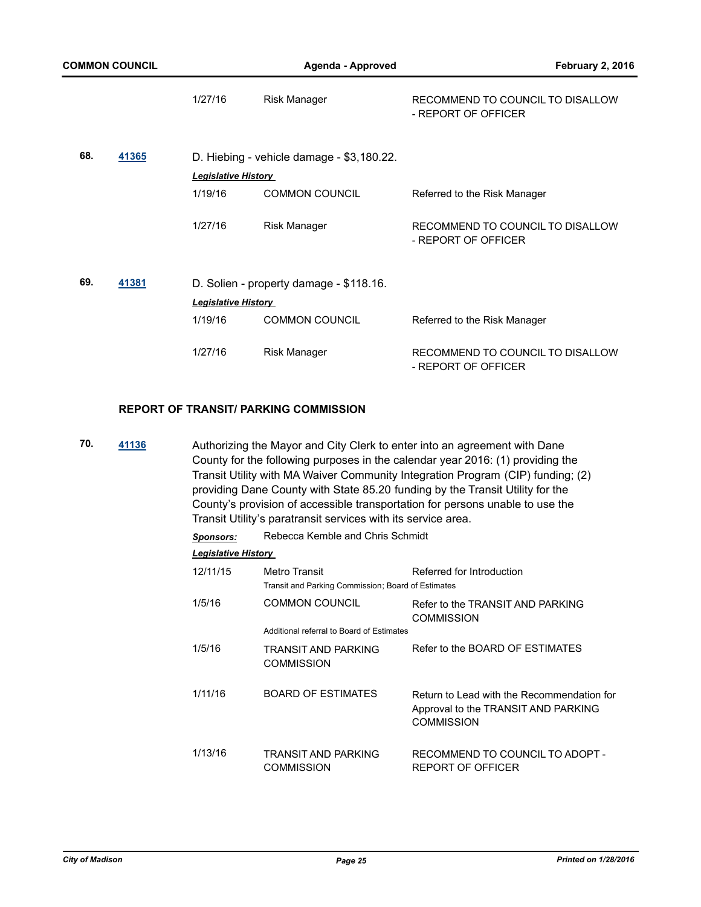| <b>COMMON COUNCIL</b> |       | Agenda - Approved          |                                           | February 2, 2016                                        |
|-----------------------|-------|----------------------------|-------------------------------------------|---------------------------------------------------------|
|                       |       | 1/27/16                    | <b>Risk Manager</b>                       | RECOMMEND TO COUNCIL TO DISALLOW<br>- REPORT OF OFFICER |
| 68.                   | 41365 | <b>Legislative History</b> | D. Hiebing - vehicle damage - \$3,180.22. |                                                         |
|                       |       | 1/19/16                    | <b>COMMON COUNCIL</b>                     | Referred to the Risk Manager                            |
|                       |       | 1/27/16                    | <b>Risk Manager</b>                       | RECOMMEND TO COUNCIL TO DISALLOW<br>- REPORT OF OFFICER |
| 69.                   | 41381 |                            | D. Solien - property damage - \$118.16.   |                                                         |
|                       |       | <b>Legislative History</b> |                                           |                                                         |
|                       |       | 1/19/16                    | <b>COMMON COUNCIL</b>                     | Referred to the Risk Manager                            |
|                       |       | 1/27/16                    | <b>Risk Manager</b>                       | RECOMMEND TO COUNCIL TO DISALLOW<br>- REPORT OF OFFICER |

## **REPORT OF TRANSIT/ PARKING COMMISSION**

**70. [41136](http://madison.legistar.com/gateway.aspx?m=l&id=/matter.aspx?key=45573)** Authorizing the Mayor and City Clerk to enter into an agreement with Dane County for the following purposes in the calendar year 2016: (1) providing the Transit Utility with MA Waiver Community Integration Program (CIP) funding; (2) providing Dane County with State 85.20 funding by the Transit Utility for the County's provision of accessible transportation for persons unable to use the Transit Utility's paratransit services with its service area.

*Sponsors:* Rebecca Kemble and Chris Schmidt

| <b>Legislative History</b> |  |  |  |
|----------------------------|--|--|--|
|                            |  |  |  |

| 12/11/15 | Metro Transit<br>Transit and Parking Commission; Board of Estimates | Referred for Introduction                                                                              |
|----------|---------------------------------------------------------------------|--------------------------------------------------------------------------------------------------------|
| 1/5/16   | <b>COMMON COUNCIL</b><br>Additional referral to Board of Estimates  | Refer to the TRANSIT AND PARKING<br><b>COMMISSION</b>                                                  |
| 1/5/16   | TRANSIT AND PARKING<br><b>COMMISSION</b>                            | Refer to the BOARD OF ESTIMATES                                                                        |
| 1/11/16  | <b>BOARD OF ESTIMATES</b>                                           | Return to Lead with the Recommendation for<br>Approval to the TRANSIT AND PARKING<br><b>COMMISSION</b> |
| 1/13/16  | TRANSIT AND PARKING<br>COMMISSION                                   | RECOMMEND TO COUNCIL TO ADOPT -<br>REPORT OF OFFICER                                                   |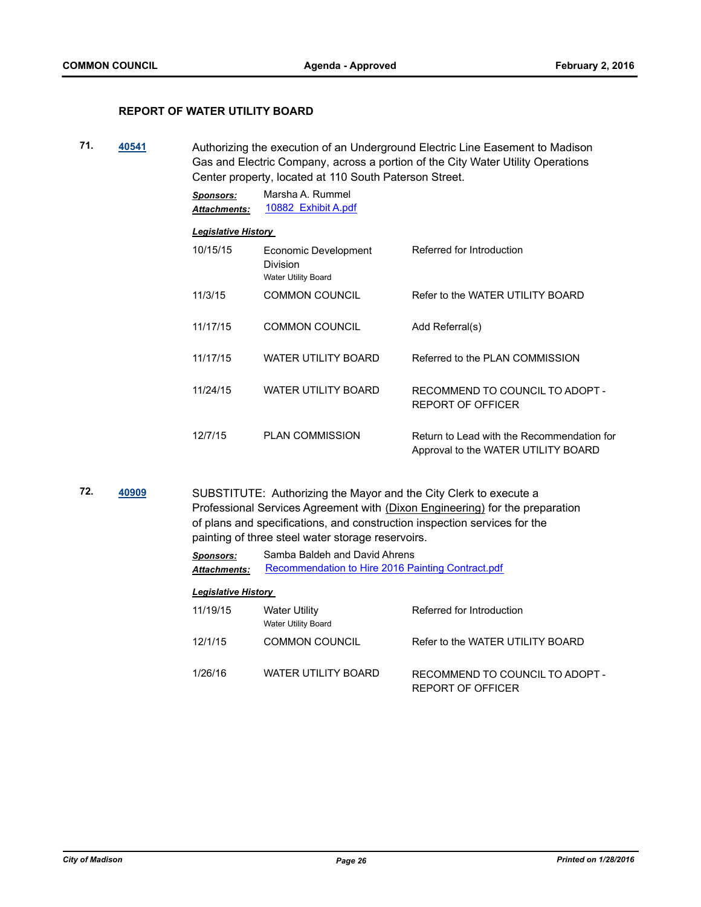## **REPORT OF WATER UTILITY BOARD**

**71. [40541](http://madison.legistar.com/gateway.aspx?m=l&id=/matter.aspx?key=44036)** Authorizing the execution of an Underground Electric Line Easement to Madison Gas and Electric Company, across a portion of the City Water Utility Operations Center property, located at 110 South Paterson Street.

> *Sponsors:* Marsha A. Rummel *Attachments:* [10882 Exhibit A.pdf](http://madison.legistar.com/gateway.aspx?M=F&ID=b02768d7-60fe-440d-9b4b-c5c3637bf893.pdf)

## *Legislative History*

| 10/15/15 | Economic Development<br><b>Division</b><br><b>Water Utility Board</b> | Referred for Introduction                                                         |
|----------|-----------------------------------------------------------------------|-----------------------------------------------------------------------------------|
| 11/3/15  | <b>COMMON COUNCIL</b>                                                 | Refer to the WATER UTILITY BOARD                                                  |
| 11/17/15 | <b>COMMON COUNCIL</b>                                                 | Add Referral(s)                                                                   |
| 11/17/15 | WATER UTILITY BOARD                                                   | Referred to the PLAN COMMISSION                                                   |
| 11/24/15 | WATER UTILITY BOARD                                                   | RECOMMEND TO COUNCIL TO ADOPT -<br>REPORT OF OFFICER                              |
| 12/7/15  | <b>PLAN COMMISSION</b>                                                | Return to Lead with the Recommendation for<br>Approval to the WATER UTILITY BOARD |

**72. [40909](http://madison.legistar.com/gateway.aspx?m=l&id=/matter.aspx?key=44368)** SUBSTITUTE: Authorizing the Mayor and the City Clerk to execute a Professional Services Agreement with (Dixon Engineering) for the preparation of plans and specifications, and construction inspection services for the painting of three steel water storage reservoirs.

> *Sponsors:* Samba Baldeh and David Ahrens Attachments: [Recommendation to Hire 2016 Painting Contract.pdf](http://madison.legistar.com/gateway.aspx?M=F&ID=a1d7f864-a7b6-4d4b-b37e-89d61c52c928.pdf)

| 11/19/15 | Water Utility<br>Water Utility Board | Referred for Introduction                            |
|----------|--------------------------------------|------------------------------------------------------|
| 12/1/15  | <b>COMMON COUNCIL</b>                | Refer to the WATER UTILITY BOARD                     |
| 1/26/16  | WATER UTILITY BOARD                  | RECOMMEND TO COUNCIL TO ADOPT -<br>REPORT OF OFFICER |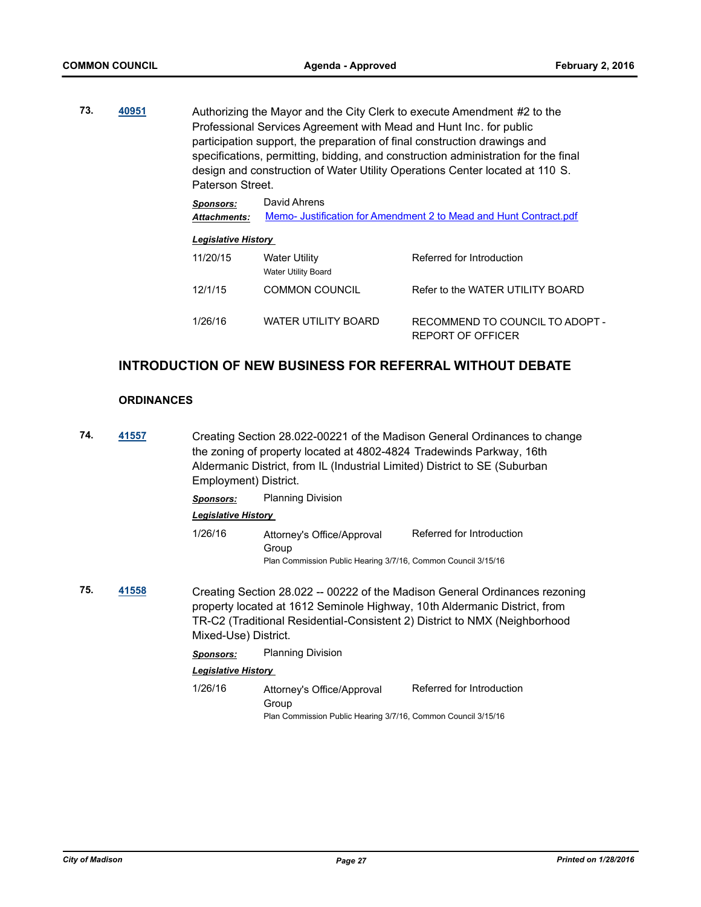**73. [40951](http://madison.legistar.com/gateway.aspx?m=l&id=/matter.aspx?key=44405)** Authorizing the Mayor and the City Clerk to execute Amendment #2 to the Professional Services Agreement with Mead and Hunt Inc. for public participation support, the preparation of final construction drawings and specifications, permitting, bidding, and construction administration for the final design and construction of Water Utility Operations Center located at 110 S. Paterson Street.

| <b>Sponsors:</b>    | David Ahrens                                                     |
|---------------------|------------------------------------------------------------------|
| <b>Attachments:</b> | Memo-Justification for Amendment 2 to Mead and Hunt Contract.pdf |

|--|

| 11/20/15 | Water Utility<br>Water Utility Board | Referred for Introduction                            |
|----------|--------------------------------------|------------------------------------------------------|
| 12/1/15  | COMMON COUNCIL                       | Refer to the WATER UTILITY BOARD                     |
| 1/26/16  | WATER UTILITY BOARD                  | RECOMMEND TO COUNCIL TO ADOPT -<br>REPORT OF OFFICER |

# **INTRODUCTION OF NEW BUSINESS FOR REFERRAL WITHOUT DEBATE**

## **ORDINANCES**

**74. [41557](http://madison.legistar.com/gateway.aspx?m=l&id=/matter.aspx?key=45947)** Creating Section 28.022-00221 of the Madison General Ordinances to change the zoning of property located at 4802-4824 Tradewinds Parkway, 16th Aldermanic District, from IL (Industrial Limited) District to SE (Suburban Employment) District. *Sponsors:* Planning Division *Legislative History*  1/26/16 Attorney's Office/Approval Group Referred for Introduction Plan Commission Public Hearing 3/7/16, Common Council 3/15/16 **75. [41558](http://madison.legistar.com/gateway.aspx?m=l&id=/matter.aspx?key=45948)** Creating Section 28.022 -- 00222 of the Madison General Ordinances rezoning property located at 1612 Seminole Highway, 10th Aldermanic District, from TR-C2 (Traditional Residential-Consistent 2) District to NMX (Neighborhood Mixed-Use) District. *Sponsors:* Planning Division *Legislative History*  1/26/16 Attorney's Office/Approval Group Referred for Introduction Plan Commission Public Hearing 3/7/16, Common Council 3/15/16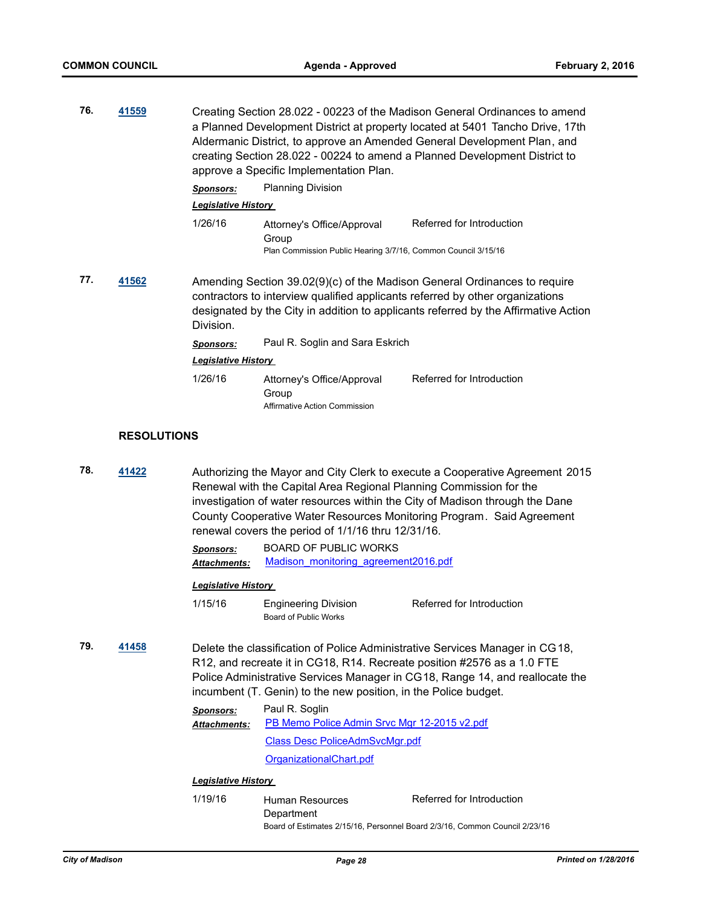**76. [41559](http://madison.legistar.com/gateway.aspx?m=l&id=/matter.aspx?key=45949)** Creating Section 28.022 - 00223 of the Madison General Ordinances to amend a Planned Development District at property located at 5401 Tancho Drive, 17th Aldermanic District, to approve an Amended General Development Plan, and creating Section 28.022 - 00224 to amend a Planned Development District to approve a Specific Implementation Plan.

*Sponsors:* Planning Division

*Legislative History* 

1/26/16 Attorney's Office/Approval Group Referred for Introduction Plan Commission Public Hearing 3/7/16, Common Council 3/15/16

**77. [41562](http://madison.legistar.com/gateway.aspx?m=l&id=/matter.aspx?key=45952)** Amending Section 39.02(9)(c) of the Madison General Ordinances to require contractors to interview qualified applicants referred by other organizations designated by the City in addition to applicants referred by the Affirmative Action Division.

*Sponsors:* Paul R. Soglin and Sara Eskrich

- *Legislative History*
- 1/26/16 Attorney's Office/Approval Group Referred for Introduction Affirmative Action Commission

## **RESOLUTIONS**

**78. [41422](http://madison.legistar.com/gateway.aspx?m=l&id=/matter.aspx?key=45830)** Authorizing the Mayor and City Clerk to execute a Cooperative Agreement 2015 Renewal with the Capital Area Regional Planning Commission for the investigation of water resources within the City of Madison through the Dane County Cooperative Water Resources Monitoring Program. Said Agreement renewal covers the period of 1/1/16 thru 12/31/16.

| Sponsors:           | <b>BOARD OF PUBLIC WORKS</b>          |  |  |
|---------------------|---------------------------------------|--|--|
| <b>Attachments:</b> | Madison monitoring agreement 2016.pdf |  |  |

#### *Legislative History*

- 1/15/16 Engineering Division Referred for Introduction Board of Public Works
- **79. [41458](http://madison.legistar.com/gateway.aspx?m=l&id=/matter.aspx?key=45859)** Delete the classification of Police Administrative Services Manager in CG18, R12, and recreate it in CG18, R14. Recreate position #2576 as a 1.0 FTE Police Administrative Services Manager in CG18, Range 14, and reallocate the incumbent (T. Genin) to the new position, in the Police budget.

| <b>Sponsors:</b>    | Paul R. Soglin                               |
|---------------------|----------------------------------------------|
| <b>Attachments:</b> | PB Memo Police Admin Srvc Mgr 12-2015 v2.pdf |
|                     | <b>Class Desc PoliceAdmSvcMgr.pdf</b>        |
|                     | OrganizationalChart.pdf                      |

## *Legislative History*

1/19/16 Human Resources **Department** Referred for Introduction Board of Estimates 2/15/16, Personnel Board 2/3/16, Common Council 2/23/16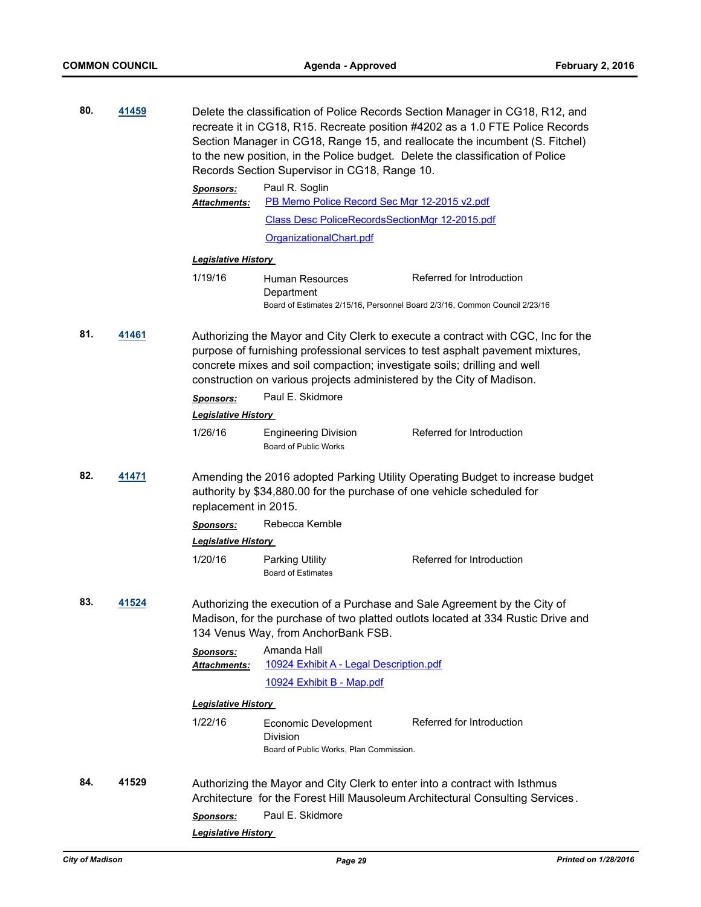| 80. | 41459                                                                                                                                                                                    |                                                                                                                                                             | Delete the classification of Police Records Section Manager in CG18, R12, and<br>recreate it in CG18, R15. Recreate position #4202 as a 1.0 FTE Police Records<br>Section Manager in CG18, Range 15, and reallocate the incumbent (S. Fitchel)<br>to the new position, in the Police budget. Delete the classification of Police<br>Records Section Supervisor in CG18, Range 10. |                           |  |
|-----|------------------------------------------------------------------------------------------------------------------------------------------------------------------------------------------|-------------------------------------------------------------------------------------------------------------------------------------------------------------|-----------------------------------------------------------------------------------------------------------------------------------------------------------------------------------------------------------------------------------------------------------------------------------------------------------------------------------------------------------------------------------|---------------------------|--|
|     |                                                                                                                                                                                          | <b>Sponsors:</b><br>Attachments:                                                                                                                            | Paul R. Soglin<br>PB Memo Police Record Sec Mgr 12-2015 v2.pdf                                                                                                                                                                                                                                                                                                                    |                           |  |
|     |                                                                                                                                                                                          |                                                                                                                                                             | Class Desc PoliceRecordsSectionMgr 12-2015.pdf                                                                                                                                                                                                                                                                                                                                    |                           |  |
|     |                                                                                                                                                                                          |                                                                                                                                                             | OrganizationalChart.pdf                                                                                                                                                                                                                                                                                                                                                           |                           |  |
|     |                                                                                                                                                                                          | <b>Legislative History</b>                                                                                                                                  |                                                                                                                                                                                                                                                                                                                                                                                   |                           |  |
|     |                                                                                                                                                                                          | 1/19/16                                                                                                                                                     | Human Resources<br>Department<br>Board of Estimates 2/15/16, Personnel Board 2/3/16, Common Council 2/23/16                                                                                                                                                                                                                                                                       | Referred for Introduction |  |
| 81. | 41461                                                                                                                                                                                    | <b>Sponsors:</b><br><b>Legislative History</b>                                                                                                              | Authorizing the Mayor and City Clerk to execute a contract with CGC, Inc for the<br>purpose of furnishing professional services to test asphalt pavement mixtures,<br>concrete mixes and soil compaction; investigate soils; drilling and well<br>construction on various projects administered by the City of Madison.<br>Paul E. Skidmore                                       |                           |  |
|     |                                                                                                                                                                                          | 1/26/16                                                                                                                                                     | <b>Engineering Division</b><br>Board of Public Works                                                                                                                                                                                                                                                                                                                              | Referred for Introduction |  |
| 82. | 41471<br>Amending the 2016 adopted Parking Utility Operating Budget to increase budget<br>authority by \$34,880.00 for the purchase of one vehicle scheduled for<br>replacement in 2015. |                                                                                                                                                             |                                                                                                                                                                                                                                                                                                                                                                                   |                           |  |
|     |                                                                                                                                                                                          | <b>Sponsors:</b>                                                                                                                                            | Rebecca Kemble                                                                                                                                                                                                                                                                                                                                                                    |                           |  |
|     |                                                                                                                                                                                          | <b>Legislative History</b>                                                                                                                                  |                                                                                                                                                                                                                                                                                                                                                                                   |                           |  |
|     |                                                                                                                                                                                          | 1/20/16                                                                                                                                                     | Parking Utility<br><b>Board of Estimates</b>                                                                                                                                                                                                                                                                                                                                      | Referred for Introduction |  |
| 83. | 41524                                                                                                                                                                                    |                                                                                                                                                             | Authorizing the execution of a Purchase and Sale Agreement by the City of<br>Madison, for the purchase of two platted outlots located at 334 Rustic Drive and<br>134 Venus Way, from AnchorBank FSB.                                                                                                                                                                              |                           |  |
|     |                                                                                                                                                                                          | <b>Sponsors:</b><br>Attachments:                                                                                                                            | Amanda Hall<br>10924 Exhibit A - Legal Description.pdf                                                                                                                                                                                                                                                                                                                            |                           |  |
|     |                                                                                                                                                                                          |                                                                                                                                                             | 10924 Exhibit B - Map.pdf                                                                                                                                                                                                                                                                                                                                                         |                           |  |
|     |                                                                                                                                                                                          | <b>Legislative History</b>                                                                                                                                  |                                                                                                                                                                                                                                                                                                                                                                                   |                           |  |
|     |                                                                                                                                                                                          | 1/22/16                                                                                                                                                     | Economic Development                                                                                                                                                                                                                                                                                                                                                              | Referred for Introduction |  |
|     |                                                                                                                                                                                          |                                                                                                                                                             | Division<br>Board of Public Works, Plan Commission.                                                                                                                                                                                                                                                                                                                               |                           |  |
| 84. | 41529                                                                                                                                                                                    | Authorizing the Mayor and City Clerk to enter into a contract with Isthmus<br>Architecture for the Forest Hill Mausoleum Architectural Consulting Services. |                                                                                                                                                                                                                                                                                                                                                                                   |                           |  |
|     |                                                                                                                                                                                          | <b>Sponsors:</b>                                                                                                                                            | Paul E. Skidmore                                                                                                                                                                                                                                                                                                                                                                  |                           |  |
|     |                                                                                                                                                                                          | <b>Legislative History</b>                                                                                                                                  |                                                                                                                                                                                                                                                                                                                                                                                   |                           |  |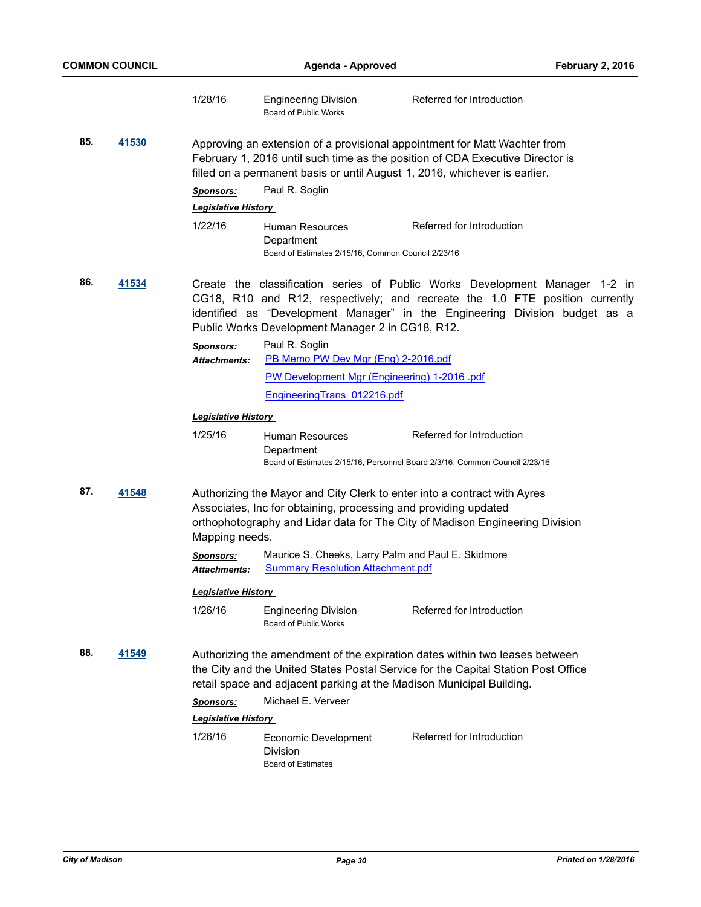|              |       | 1/28/16                                 | <b>Engineering Division</b><br>Board of Public Works                                                                                        | Referred for Introduction                                                                                                                                                                                                                  |  |  |
|--------------|-------|-----------------------------------------|---------------------------------------------------------------------------------------------------------------------------------------------|--------------------------------------------------------------------------------------------------------------------------------------------------------------------------------------------------------------------------------------------|--|--|
| 85.          | 41530 | Sponsors:<br><b>Legislative History</b> | filled on a permanent basis or until August 1, 2016, whichever is earlier.<br>Paul R. Soglin                                                | Approving an extension of a provisional appointment for Matt Wachter from<br>February 1, 2016 until such time as the position of CDA Executive Director is                                                                                 |  |  |
|              |       | 1/22/16                                 | Human Resources<br>Department<br>Board of Estimates 2/15/16, Common Council 2/23/16                                                         | Referred for Introduction                                                                                                                                                                                                                  |  |  |
| 86.          | 41534 |                                         | Public Works Development Manager 2 in CG18, R12.                                                                                            | Create the classification series of Public Works Development Manager 1-2 in<br>CG18, R10 and R12, respectively; and recreate the 1.0 FTE position currently<br>identified as "Development Manager" in the Engineering Division budget as a |  |  |
|              |       | <b>Sponsors:</b>                        | Paul R. Soglin                                                                                                                              |                                                                                                                                                                                                                                            |  |  |
|              |       | <b>Attachments:</b>                     | PB Memo PW Dev Mgr (Eng) 2-2016.pdf<br>PW Development Mgr (Engineering) 1-2016 .pdf                                                         |                                                                                                                                                                                                                                            |  |  |
|              |       |                                         | EngineeringTrans 012216.pdf                                                                                                                 |                                                                                                                                                                                                                                            |  |  |
|              |       | <b>Legislative History</b>              |                                                                                                                                             |                                                                                                                                                                                                                                            |  |  |
|              |       | 1/25/16                                 | Human Resources<br>Department<br>Board of Estimates 2/15/16, Personnel Board 2/3/16, Common Council 2/23/16                                 | Referred for Introduction                                                                                                                                                                                                                  |  |  |
| 87.<br>41548 |       | Mapping needs.                          | Authorizing the Mayor and City Clerk to enter into a contract with Ayres<br>Associates, Inc for obtaining, processing and providing updated | orthophotography and Lidar data for The City of Madison Engineering Division                                                                                                                                                               |  |  |
|              |       | <u> Sponsors:</u><br>Attachments:       | Maurice S. Cheeks, Larry Palm and Paul E. Skidmore<br><b>Summary Resolution Attachment.pdf</b>                                              |                                                                                                                                                                                                                                            |  |  |
|              |       | Legislative History                     |                                                                                                                                             |                                                                                                                                                                                                                                            |  |  |
|              |       | 1/26/16                                 | <b>Engineering Division</b><br><b>Board of Public Works</b>                                                                                 | Referred for Introduction                                                                                                                                                                                                                  |  |  |
| 88.          | 41549 |                                         | retail space and adjacent parking at the Madison Municipal Building.                                                                        | Authorizing the amendment of the expiration dates within two leases between<br>the City and the United States Postal Service for the Capital Station Post Office                                                                           |  |  |
|              |       | <b>Sponsors:</b>                        | Michael E. Verveer                                                                                                                          |                                                                                                                                                                                                                                            |  |  |
|              |       | <u> Legislative History</u>             |                                                                                                                                             |                                                                                                                                                                                                                                            |  |  |
|              |       | 1/26/16                                 | Economic Development<br>Division<br><b>Board of Estimates</b>                                                                               | Referred for Introduction                                                                                                                                                                                                                  |  |  |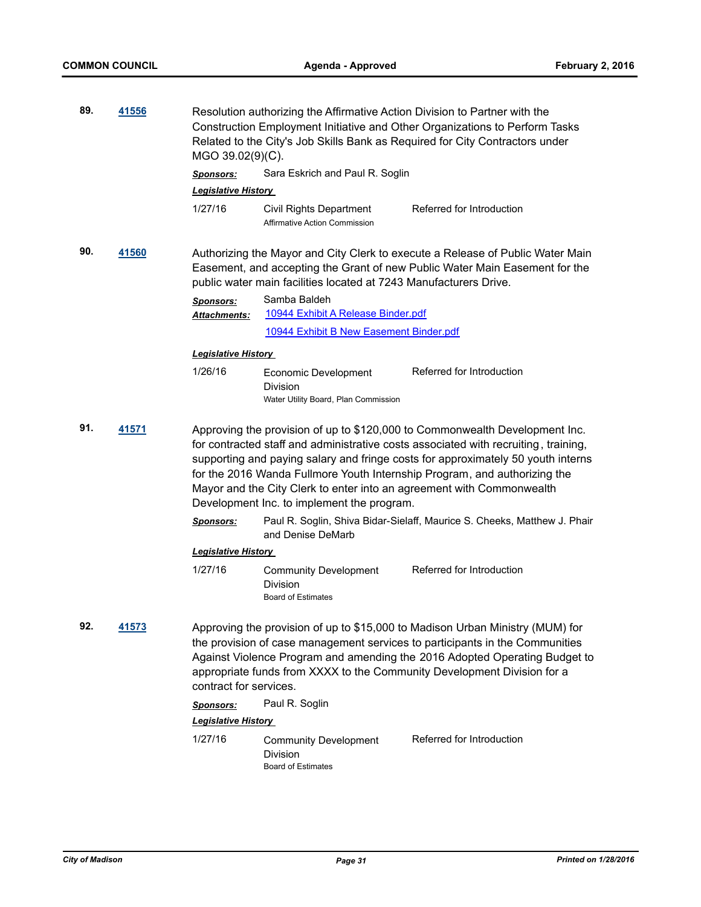| 89.<br>41556 |              | Resolution authorizing the Affirmative Action Division to Partner with the<br>Construction Employment Initiative and Other Organizations to Perform Tasks<br>Related to the City's Job Skills Bank as Required for City Contractors under<br>MGO 39.02(9)(C). |                                                                          |                                                                                                                                                                                                                                                                                                                                                                                                              |
|--------------|--------------|---------------------------------------------------------------------------------------------------------------------------------------------------------------------------------------------------------------------------------------------------------------|--------------------------------------------------------------------------|--------------------------------------------------------------------------------------------------------------------------------------------------------------------------------------------------------------------------------------------------------------------------------------------------------------------------------------------------------------------------------------------------------------|
|              |              | <b>Sponsors:</b>                                                                                                                                                                                                                                              | Sara Eskrich and Paul R. Soglin                                          |                                                                                                                                                                                                                                                                                                                                                                                                              |
|              |              | <b>Legislative History</b>                                                                                                                                                                                                                                    |                                                                          |                                                                                                                                                                                                                                                                                                                                                                                                              |
|              |              | 1/27/16                                                                                                                                                                                                                                                       | Civil Rights Department<br><b>Affirmative Action Commission</b>          | Referred for Introduction                                                                                                                                                                                                                                                                                                                                                                                    |
| 90.          | 41560        |                                                                                                                                                                                                                                                               | public water main facilities located at 7243 Manufacturers Drive.        | Authorizing the Mayor and City Clerk to execute a Release of Public Water Main<br>Easement, and accepting the Grant of new Public Water Main Easement for the                                                                                                                                                                                                                                                |
|              |              | <b>Sponsors:</b><br><b>Attachments:</b>                                                                                                                                                                                                                       | Samba Baldeh<br>10944 Exhibit A Release Binder.pdf                       |                                                                                                                                                                                                                                                                                                                                                                                                              |
|              |              |                                                                                                                                                                                                                                                               | 10944 Exhibit B New Easement Binder.pdf                                  |                                                                                                                                                                                                                                                                                                                                                                                                              |
|              |              | <b>Legislative History</b>                                                                                                                                                                                                                                    |                                                                          |                                                                                                                                                                                                                                                                                                                                                                                                              |
|              |              | 1/26/16                                                                                                                                                                                                                                                       | Economic Development<br>Division<br>Water Utility Board, Plan Commission | Referred for Introduction                                                                                                                                                                                                                                                                                                                                                                                    |
| 91.          | <u>41571</u> |                                                                                                                                                                                                                                                               | Development Inc. to implement the program.                               | Approving the provision of up to \$120,000 to Commonwealth Development Inc.<br>for contracted staff and administrative costs associated with recruiting, training,<br>supporting and paying salary and fringe costs for approximately 50 youth interns<br>for the 2016 Wanda Fullmore Youth Internship Program, and authorizing the<br>Mayor and the City Clerk to enter into an agreement with Commonwealth |
|              |              | <b>Sponsors:</b>                                                                                                                                                                                                                                              | and Denise DeMarb                                                        | Paul R. Soglin, Shiva Bidar-Sielaff, Maurice S. Cheeks, Matthew J. Phair                                                                                                                                                                                                                                                                                                                                     |
|              |              | <b>Legislative History</b>                                                                                                                                                                                                                                    |                                                                          |                                                                                                                                                                                                                                                                                                                                                                                                              |
|              |              | 1/27/16                                                                                                                                                                                                                                                       | <b>Community Development</b><br>Division<br><b>Board of Estimates</b>    | Referred for Introduction                                                                                                                                                                                                                                                                                                                                                                                    |
| 92.          | 41573        | contract for services.                                                                                                                                                                                                                                        |                                                                          | Approving the provision of up to \$15,000 to Madison Urban Ministry (MUM) for<br>the provision of case management services to participants in the Communities<br>Against Violence Program and amending the 2016 Adopted Operating Budget to<br>appropriate funds from XXXX to the Community Development Division for a                                                                                       |
|              |              | <b>Sponsors:</b>                                                                                                                                                                                                                                              | Paul R. Soglin                                                           |                                                                                                                                                                                                                                                                                                                                                                                                              |
|              |              | <b>Legislative History</b>                                                                                                                                                                                                                                    |                                                                          |                                                                                                                                                                                                                                                                                                                                                                                                              |
|              |              | 1/27/16                                                                                                                                                                                                                                                       | <b>Community Development</b><br>Division<br><b>Board of Estimates</b>    | Referred for Introduction                                                                                                                                                                                                                                                                                                                                                                                    |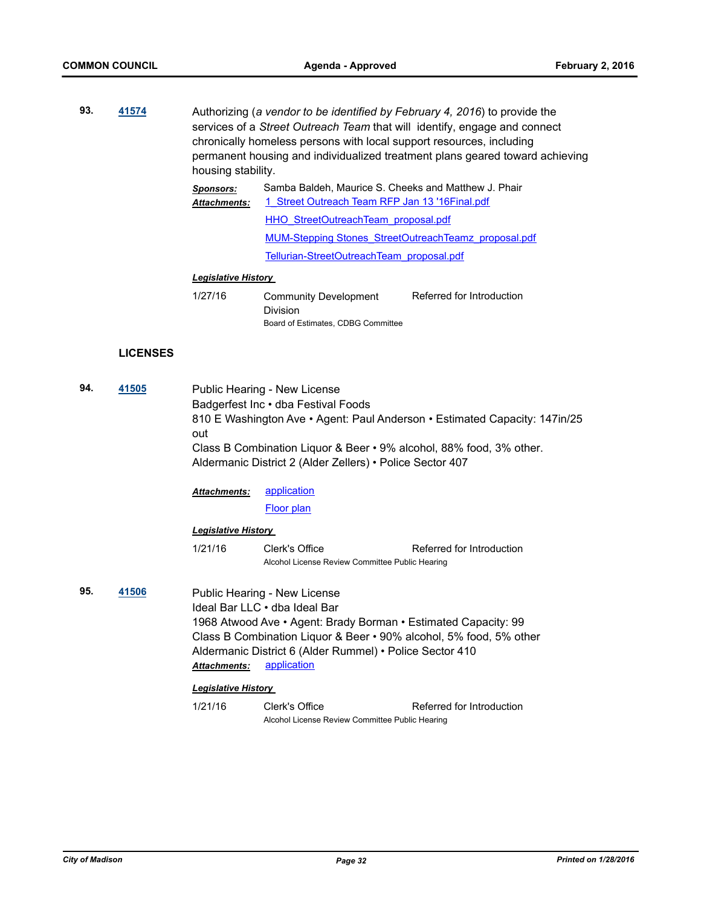**93. [41574](http://madison.legistar.com/gateway.aspx?m=l&id=/matter.aspx?key=45964)** Authorizing (*a vendor to be identified by February 4, 2016*) to provide the services of a *Street Outreach Team* that will identify, engage and connect chronically homeless persons with local support resources, including permanent housing and individualized treatment plans geared toward achieving housing stability. *Sponsors:* Samba Baldeh, Maurice S. Cheeks and Matthew J. Phair [1\\_Street Outreach Team RFP Jan 13 '16Final.pdf](http://madison.legistar.com/gateway.aspx?M=F&ID=fe75c4cc-d7bd-4d97-b462-04dbf69b977a.pdf) [HHO\\_StreetOutreachTeam\\_proposal.pdf](http://madison.legistar.com/gateway.aspx?M=F&ID=214e5b83-a728-4acc-82b8-e61aa96fab45.pdf) *Attachments:*

[MUM-Stepping Stones\\_StreetOutreachTeamz\\_proposal.pdf](http://madison.legistar.com/gateway.aspx?M=F&ID=a65e0997-a49b-48b8-a6e7-c004f5d683a4.pdf) [Tellurian-StreetOutreachTeam\\_proposal.pdf](http://madison.legistar.com/gateway.aspx?M=F&ID=7a589c27-8b96-4af4-b179-0a45432317af.pdf)

## *Legislative History*

| 1/27/16 | <b>Community Development</b>       | Referred for Introduction |
|---------|------------------------------------|---------------------------|
|         | <b>Division</b>                    |                           |
|         | Board of Estimates, CDBG Committee |                           |

## **LICENSES**

| 94. | 41505 | Public Hearing - New License<br>Badgerfest Inc • dba Festival Foods<br>810 E Washington Ave • Agent: Paul Anderson • Estimated Capacity: 147in/25<br>out<br>Class B Combination Liquor & Beer • 9% alcohol, 88% food, 3% other.<br>Aldermanic District 2 (Alder Zellers) • Police Sector 407            |                                                                   |                           |  |
|-----|-------|---------------------------------------------------------------------------------------------------------------------------------------------------------------------------------------------------------------------------------------------------------------------------------------------------------|-------------------------------------------------------------------|---------------------------|--|
|     |       | <b>Attachments:</b>                                                                                                                                                                                                                                                                                     | <i>application</i>                                                |                           |  |
|     |       |                                                                                                                                                                                                                                                                                                         | Floor plan                                                        |                           |  |
|     |       | <b>Legislative History</b>                                                                                                                                                                                                                                                                              |                                                                   |                           |  |
|     |       | 1/21/16                                                                                                                                                                                                                                                                                                 | Clerk's Office<br>Alcohol License Review Committee Public Hearing | Referred for Introduction |  |
| 95. | 41506 | Public Hearing - New License<br>Ideal Bar LLC . dba Ideal Bar<br>1968 Atwood Ave • Agent: Brady Borman • Estimated Capacity: 99<br>Class B Combination Liquor & Beer • 90% alcohol, 5% food, 5% other<br>Aldermanic District 6 (Alder Rummel) • Police Sector 410<br>application<br><b>Attachments:</b> |                                                                   |                           |  |
|     |       | <b>Legislative History</b>                                                                                                                                                                                                                                                                              |                                                                   |                           |  |
|     |       | 1/21/16                                                                                                                                                                                                                                                                                                 | Clerk's Office                                                    | Referred for Introduction |  |
|     |       | Alcohol License Review Committee Public Hearing                                                                                                                                                                                                                                                         |                                                                   |                           |  |